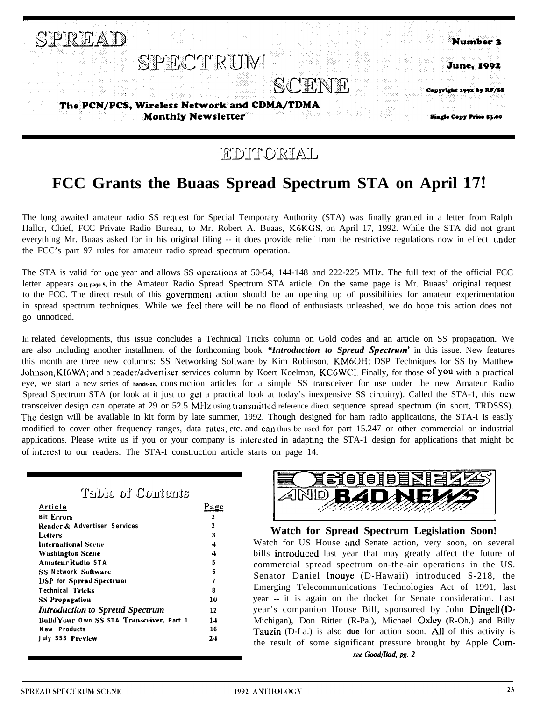

### EDITORIAL

### **FCC Grants the Buaas Spread Spectrum STA on April 17!**

The long awaited amateur radio SS request for Special Temporary Authority (STA) was finally granted in a letter from Ralph Hallcr, Chief, FCC Private Radio Bureau, to Mr. Robert A. Buaas, K6KGS, on April 17, 1992. While the STA did not grant everything Mr. Buaas asked for in his original filing -- it does provide relief from the restrictive regulations now in effect under the FCC's part 97 rules for amateur radio spread spectrum operation.

The STA is valid for one year and allows SS operations at 50-54, 144-148 and 222-225 MHz. The full text of the official FCC letter appears **on page 5,** in the Amateur Radio Spread Spectrum STA article. On the same page is Mr. Buaas' original request to the FCC. The direct result of this government action should be an opening up of possibilities for amateur experimentation in spread spectrum techniques. While we feel there will be no flood of enthusiasts unleashed, we do hope this action does not go unnoticed.

In related developments, this issue concludes a Technical Tricks column on Gold codes and an article on SS propagation. We are also including another installment of the forthcoming book *"Introduction to Spreud Specfrum"* in this issue. New features this month are three new columns: SS Networking Software by Kim Robinson, KM6OH; DSP Techniques for SS by Matthew Johnson, KI6WA; and a reader/advertiser services column by Koert Koelman, KC6WCI. Finally, for those of you with a practical eye, we start a new series of **hands-on,** construction articles for a simple SS transceiver for use under the new Amateur Radio Spread Spectrum STA (or look at it just to get a practical look at today's inexpensive SS circuitry). Called the STA-1, this new transceiver design can operate at 29 or 52.5 MIIz using transmitted reference direct sequence spread spectrum (in short, TRDSSS). The design will be available in kit form by late summer, 1992. Though designed for ham radio applications, the STA-I is easily modified to cover other frequency ranges, data rates, etc. and can thus be used for part 15.247 or other commercial or industrial applications. Please write us if you or your company is intcrestcd in adapting the STA-1 design for applications that might bc of interest to our readers. The STA-I construction article starts on page 14.

| Table of Contents                         |                |
|-------------------------------------------|----------------|
| Article                                   | Page           |
| <b>Bit Errors</b>                         | 2              |
| Reader & Advertiser Services              | 2              |
| Letters                                   | 3              |
| <b>International Scene</b>                | $\overline{4}$ |
| <b>Washington Scene</b>                   | 4              |
| <b>Amateur Radio STA</b>                  | 5              |
| <b>SS Network Software</b>                | R              |
| <b>DSP</b> for Spread Spectrum            | 7              |
| <b>Technical Tricks</b>                   | x              |
| <b>SS Propagation</b>                     | 10             |
| <b>Introduction to Spreud Spectrum</b>    | 12             |
| Build Your Own SS STA Transceiver, Part 1 | 14             |
| <b>New Products</b>                       | 16             |
| <b>July SSS Preview</b>                   | 24             |



**Watch for Spread Spectrum Legislation Soon!** Watch for US House **and** Senate action, very soon, on several bills introduced last year that may greatly affect the future of commercial spread spectrum on-the-air operations in the US. Senator Daniel Inouye (D-Hawaii) introduced S-218, the Emerging Telecommunications Technologies Act of 1991, last year -- it is again on the docket for Senate consideration. Last year's companion House Bill, sponsored by John Dingell (D-Michigan), Don Ritter (R-Pa.), Michael Oxley (R-Oh.) and Billy Tauzin (D-La.) is also **due** for action soon. All of this activity is the result of some significant pressure brought by Apple Comsee Good/Bad, pg. 2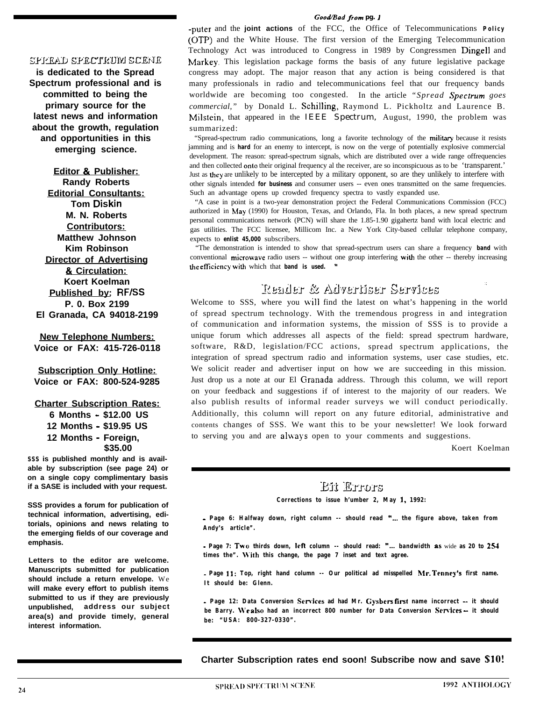#### *GomVBod* from *pg.* <sup>1</sup>

#### spickad spectrum scene

**is dedicated to the Spread Spectrum professional and is committed to being the primary source for the latest news and information about the growth, regulation and opportunities in this emerging science.**

**Editor & Publisher: Randy Roberts Editorial Consultants: Tom Diskin M. N. Roberts Contributors: Matthew Johnson Kim Robinson Director of Advertising & Circulation: Koert Koelman Published by: RF/SS P. 0. Box 2199 El Granada, CA 94018-2199**

**New Telephone Numbers: Voice or FAX: 415-726-0118**

**Subscription Only Hotline: Voice or FAX: 800-524-9285**

#### **Charter Subscription Rates:**

**6 Months - \$12.00 US 12 Months - \$19.95 US 12 Months - Foreign, \$35.00**

**SSS is published monthly and is available by subscription (see page 24) or on a single copy complimentary basis if a SASE is included with your request.**

**SSS provides a forum for publication of technical information, advertising, editorials, opinions and news relating to the emerging fields of our coverage and emphasis.**

**Letters to the editor are welcome. Manuscripts submitted for publication should include a return envelope.** We **will make every effort to publish items submitted to us if they are previously unpublished, address our subject area(s) and provide timely, general interest information.**

**-puter** and the **joint actions** of the FCC, the Office of Telecommunications **Policy (OTP)** and the White House. The first version of the Emerging Telecommunication Technology Act was introduced to Congress in 1989 by Congressmen Dingell and Markey. This legislation package forms the basis of any future legislative package congress may adopt. The major reason that any action is being considered is that many professionals in radio and telecommunications feel that our frequency bands worldwide are becoming too congested. In the article *"Spread Specrrum goes commercial,"* by Donald L. Schilling, Raymond L. Pickholtz and Laurence B. Milstein, that appeared in the *IEEE Spectrum,* August, 1990, the problem was summarized:

"Spread-spectrum radio communications, long a favorite technology of the miliiary because it resists jamming and is **hard** for an enemy to intercept, is now on the verge of potentially explosive commercial development. The reason: spread-spectrum signals, which are distributed over a wide range offrequencies and then collected onto their original frequency al the receiver, are so inconspicuous as to be 'transparent.' Just as they are unlikely to be intercepted by a military opponent, so are they unlikely to interfere with other signals intended **for business** and consumer users -- even ones transmitted on the same frequencies. Such an advantage opens up crowded frequency spectra to vastly expanded use.

"A case in point is a two-year demonstration project the Federal Communications Commission (FCC) authorized in hfay (1990) for Houston, Texas, and Orlando, Fla. In both places, a new spread spectrum personal communications network (PCN) will share the 1.85-1.90 gigahertz band with local electric and gas utilities. The FCC licensee, Millicom Inc. a New York City-based cellular telephone company, expects to **enlist 45,000** subscribers.

"The demonstration is intended to show that spread-spectrum users can share a frequency **band** with conventional microwave radio users -- without one group interfering with the other -- thereby increasing the efficiency with which that **band** is used. "

### Reader & Advertiser Services

Welcome to SSS, where you will find the latest on what's happening in the world of spread spectrum technology. With the tremendous progress in and integration of communication and information systems, the mission of SSS is to provide a unique forum which addresses all aspects of the field: spread spectrum hardware, software, R&D, legislation/FCC actions, spread spectrum applications, the integration of spread spectrum radio and information systems, user case studies, etc. We solicit reader and advertiser input on how we are succeeding in this mission. Just drop us a note at our El Ciranada address. Through this column, we will report on your feedback and suggestions if of interest to the majority of our readers. We also publish results of informal reader surveys we will conduct periodically. Additionally, this column will report on any future editorial, administrative and contents changes of SSS. We want this to be your newsletter! We look forward to serving you and are always open to your comments and suggestions.

Koert Koelman

#### Eit Errors

**Corrections to issue h'umber 2, May I, 1992:**

**- Page 6: Halfway down, right column -- should read "... the figure above, taken from Andy's article".**

**- Page 7: Two thirds down, left column -- should read: "... bandwidth** as wide **as 20 to 254 times the". \Vith this change, the page 7 inset and text agree.**

**\_ Page II: Top, right hand column -- Our political ad misspelled Mr. Tenney's first name. It should be: Glenn.**

**- Page 12: Data Conversion Semites ad had Mr. Gysbers lirst name incorrect - it should be Barry. \Ve also had an incorrect 800 number for Data Conversion Sewices - it should be: "USA: 800-327-0330".**

**Charter Subscription rates end soon! Subscribe now and save %lO!**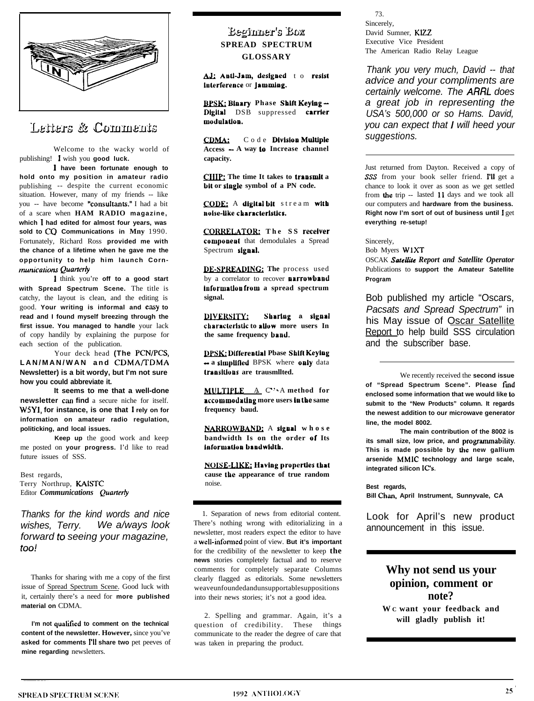

### Letters & Comments

Welcome to the wacky world of publishing! I wish you **good luck.**

**1 have been fortunate enough to hold onto my position in amateur radio** publishing -- despite the current economic situation. However, many of my friends -- like you -- have become "consultants." I had a bit of a scare when **HAM RADIO magazine, which 1 had edited for almost four years, was sold to CO Communications in Mny** 1990. Fortunately, Richard Ross **provided me with the chance of a lifetime when he gave me the opportunity to help him launch Corn***munications Quarterly* 

*<sup>1</sup>* think you're **off to a good start with Spread Spectrum Scene.** The title is catchy, the layout is clean, and the editing is good. **Your writing is informal and e.asy to read and I found myself breezing through the first issue. You managed to handle** your lack of copy handily by explaining the purpose for each section of the publication.

Your deck head **(The PCN/PCS, LAN/MAN/WAN and CDMA/TDMA Newsletter) is a bit wordy, but I'm not sure how you could abbreviate it.**

**It seems to me that a well-done newsletter can find** a secure niche for itself. W5Y1, **for instance, is one that** I **rely on for information on amateur radio regulation, politicking, and local issues.**

**Keep up** the good work and keep me posted on **your progress.** I'd like to read future issues of SSS.

Best regards, Terry Northrup, KAISTC **Editor Communications Quarterly** 

*Thanks for the kind words and nice wishes, Terry. We a/ways look forward to seeing your magazine, too!*

Thanks for sharing with me a copy of the first issue of Spread Spectrum Scene. Good luck with it, certainly there's a need for **more published material on** CDMA.

I'm not qualified to comment on the technical **content of the newsletter. However,** since you've **asked for comments I'll share two** pet peeves of **mine regarding** newsletters.

### **\$&sjn-ef's** B&x **SPREAD SPECTRUM GLOSSARY**

AJ: Anti-Jam, designed to resist lalerlereace or **Jnmmlng.**

**mBinary Phase Sblft Keying - Digltal** DSB suppressed carrier modulatton.

CDMA: Code **Dlvlslon Multiple Access - A way lo Increase channel capacity.**

**CHIP**: The time It takes to **transmit** a **bit or single symbol of a PN code.**

**CODE:** A digital bit stream with noise-like characteristics.

**CORRELATOR:** The SS receiver **componeut** that demodulales a Spread Spectrum signal.

DE-SPREADING: The process used by a correlator to recover **narrowband Information from a spread spectrum signal.**

**\*,. . I)IVEI(SIIY. Shartug <sup>a</sup>slgaal clbaraclerlsllc to attuw more users In the same frequency baad.**

**DPSK: Differential Pbase Shift Keying - a simplified** BPSK where **only** data **traasitlons are trausmllted.**

**MULTIPLE** A C A method for **accommodaUng more users III lbe same frequency baud.**

**NARROWBAND:** A signal whose **bandwidth Is on the order of Its laformattun bandwldth.**

**NOISE-LIKE: Having properties that cause tke appearance of true random** noise.

1. Separation of news from editorial content. There's nothing wrong with editorializing in a newsletter, most readers expect the editor to have a well-infomred point of view. **But it's important** for the credibility of the newsletter to keep **the news** stories completely factual and to reserve comments for completely separate Columns clearly flagged as editorials. Some newsletters weaveunfoundedandunsupportablesuppositions into their news stories; it's not a good idea.

2. Spelling and grammar. Again, it's a question of credibility. These things communicate to the reader the degree of care that was taken in preparing the product.

73. Sincerely, David Sumner, KIZZ Executive Vice President The American Radio Relay League

*Thank you very much, David -- that advice and your compliments are certainly welcome. The ARRL does a great job in representing the USA's 500,000 or so Hams. David, you can expect that* I *will heed your suggestions.*

Just returned from Dayton. Received a copy of SSS from your book seller friend. I'll get a chance to look it over as soon as we get settled from the trip -- lasted 11 days and we took all our computers and **hardware from the business. Right now I'm sort of out of business until** I get **everything re-setup!**

Sincerely,

Bob Myers WlXT **OSCAK Satellite Report and Satellite Operator** Publications to **support the Amateur Satellite Program**

Bob published my article "Oscars, *Pacsats and Spread Spectrum"* in his May issue of Oscar Satellite Report to help build SSS circulation and the subscriber base.

We recently received the **second issue of "Spread Spectrum Scene". Please fmd enclosed some information that we would like lo submit to the "New Products" column. It regards the newest addition to our microwave generator line, the model 8002.**

**The main contribution of the 8002 is** its small size, low price, and programmability. **This is made possible by the new gallium arsenide MMIC technology and large scale,** integrated silicon IC's.

**Best regards,** Bill Chan, April Instrument, Sunnyvale, CA

Look for April's new product announcement in this issue.

### **Why not send us your opinion, comment or note?**

**W C want your feedback and will gladly publish it!**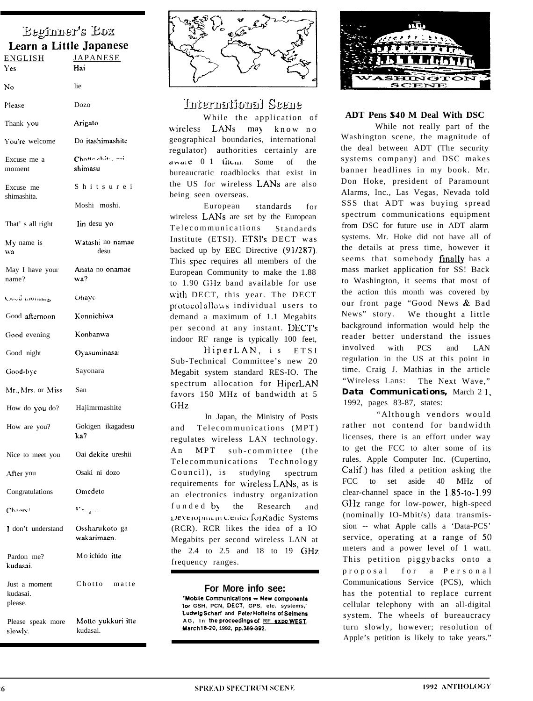# Eeginner's Eox

| Learn a Little Japanese              |                                    |
|--------------------------------------|------------------------------------|
| <u>ENGLISH</u><br>Y es               | JAPANESE<br>Hai                    |
| No                                   | lie                                |
| Please                               | Dozo                               |
| Thank you                            | Arigato                            |
| You're welcome                       | Do itashimashite                   |
| Excuse me a<br>moment                | Chotte chite god<br>shimasu        |
| Excuse me<br>shimashita.             | Shitsurei                          |
|                                      | Moshi moshi.                       |
| That' s all right                    | Iin desu yo                        |
| $My$ name is<br>wa                   | Watashi no namae<br>desu           |
| May I have your<br>name?             | Anata no onamae<br>wa?             |
| Ciusti taomini <sub>ta</sub>         | Ohayo                              |
| Good afternoon                       | Konnichiwa                         |
| Good evening                         | Konbanwa                           |
| Good night                           | Oyasuminasai                       |
| Good-bye                             | Sayonara                           |
| Mr., Mrs. or Miss                    | San                                |
| How do you do?                       | Hajimrmashite                      |
| How are you?                         | Gokigen ikagadesu<br>ka?           |
| Nice to meet you                     | Oai dekite ureshii                 |
| After you                            | Osaki ni dozo                      |
| Congratulations                      | Omedeto                            |
| Chaarel                              | $\mathbf{v}_{\sigma_{\text{opt}}}$ |
| I don't understand                   | Ossharu koto ga<br>wakarimaen.     |
| Pardon me?<br>kudasai.               | Mo ichido itte                     |
| Just a moment<br>kudasai.<br>please. | Chotto matte                       |
| Please speak more<br>slowly.         | - Motto yukkuri itte<br>kudasai.   |



International Scene

While the application of wireless LANs may know no geographical boundaries, international regulator) authorities certainly are aware 0.1 them. Some of the bureaucratic roadblocks that exist in the US for wireless LANs are also being seen overseas.

European standards  $for$ wireless LANs are set by the European Telecommunications Standards Institute (ETSI). ETSI's DECT was backed up by EEC Directive (91/287). This spec requires all members of the European Community to make the 1.88 to 1.90 GHz band available for use with DECT, this year. The DECT protocol allows individual users to demand a maximum of 1.1 Megabits per second at any instant. DECT's indoor RF range is typically 100 feet, HiperLAN, is ETSI

Sub-Technical Committee's new 20 Megabit system standard RES-IO. The spectrum allocation for HiperLAN favors 150 MHz of bandwidth at 5  $GHz.$ 

In Japan, the Ministry of Posts Telecommunications (MPT) and regulates wireless LAN technology.  $A<sub>n</sub>$ MPT sub-committee (the Telecommunications Technology Council), is studying spectrum requirements for wireless LANs, as is an electronics industry organization funded by the Research and Leveropment Center for Radio Systems (RCR). RCR likes the idea of a IO Megabits per second wireless LAN at the 2.4 to 2.5 and 18 to 19 GHz frequency ranges.

#### For More info see:

"Mobile Communications - New components for GSH, PCN, DECT, GPS, etc. systems,' Ludwig Scharf and Peter Hoffeins of Seimens AG, In the proceedings of RF expo WEST, March 18-20, 1992, pp.389-392.



#### **ADT Pens \$40 M Deal With DSC**

While not really part of the Washington scene, the magnitude of the deal between ADT (The security systems company) and DSC makes banner headlines in my book. Mr. Don Hoke, president of Paramount Alarms, Inc., Las Vegas, Nevada told SSS that ADT was buying spread spectrum communications equipment from DSC for future use in ADT alarm systems. Mr. Hoke did not have all of the details at press time, however it seems that somebody finally has a mass market application for SS! Back to Washington, it seems that most of the action this month was covered by our front page "Good News & Bad News" story. We thought a little background information would help the reader better understand the issues involved with **PCS** and **LAN** regulation in the US at this point in time. Craig J. Mathias in the article "Wireless Lans: The Next Wave," **Data Communications, March 21,** 1992, pages 83-87, states:

"Although vendors would rather not contend for bandwidth licenses, there is an effort under way to get the FCC to alter some of its rules. Apple Computer Inc. (Cupertino, Calif.) has filed a petition asking the FCC to set aside 40 MHz of clear-channel space in the 1.85-to-1.99 GHz range for low-power, high-speed (nominally IO-Mbit/s) data transmission -- what Apple calls a 'Data-PCS' service, operating at a range of 50 meters and a power level of 1 watt. This petition piggybacks onto a  $proposa1$ for a Personal Communications Service (PCS), which has the potential to replace current cellular telephony with an all-digital system. The wheels of bureaucracy turn slowly, however; resolution of Apple's petition is likely to take years."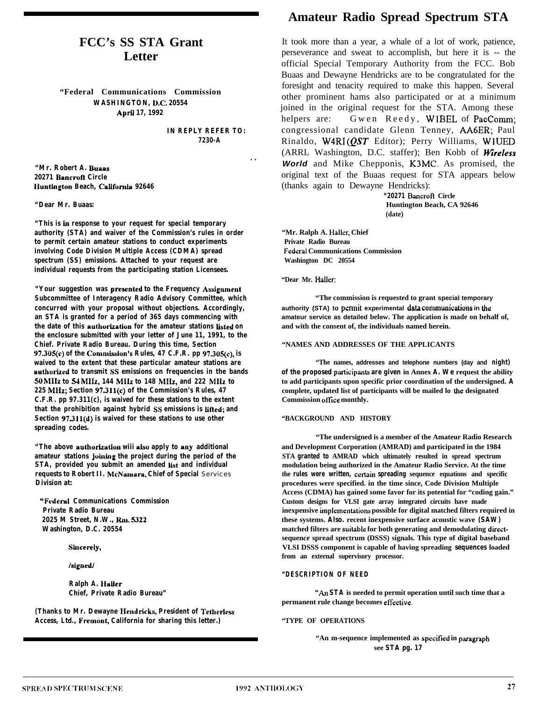### **FCC's SS STA Grant Letter**

**"Federal Communications Commission WASHINGTON, D.C. 20554 April 17, 1992**

> **IN REPLY REFER TO: 7230-A**

> > **. .**

**"Mr. Robert A. Bunas 20271 Bancroft Circle lluntington Beach, Caiifornia 92646**

#### **"Dear Mr. Buaas:**

**"This is in response to your request for special temporary authority (STA) and waiver of the Commission's rules in order to permit certain amateur stations to conduct experiments involving Code Division Multiple Access (CDMA) spread spectrum (SS) emissions. Attached to your request are individual requests from the participating station Licensees.**

**"Your suggestion was prescntcd to the Frequency Assignment Subcommittee of Interagency Radio Advisory Committee, which concurred with your proposal without objections. Accordingly, an STA is granted for a period of 365 days commencing with the date of this authorixation for the amateur stations Listed on the enclosure submitted with your letter of June 11, 1991, to the Chief. Private Radio Bureau. During this time, Section 97.305(c) of the Commission's Rules, 47 C.F.R. pp 97.305(c), is waived to the extent that these particular amateur stations are authorixed to transmit SS emissions on frequencies in the bands 50 MHz to 54 Mlls, 144 Mllx to 148 MHz, and 222 MIIz to 225 MHz; Section 97311(c) of the Commission's Rules, 47 C.F.R. pp 97.311(c), is waived for these stations to the extent that the prohibition against hybrid SS emissions is iiiled; and Section 97311(d) is waived for these stations to use other spreading codes.**

"The above authorization wiii also apply to any additional **amateur stations johring the project during the period of the STA**, provided you submit an amended list and individual **requests to Robert II. McNamara, Chief of Special** Services **Division at:**

**"Fcderai Communications Commission Private Radio Bureau 2025 M Street, N.W., Rm. S322 Washington, D.C. 20554**

**sinccreiy,**

**/signed1**

**Ralph A. IIaiIer Chief, Private Radio Bureau"**

**(Thanks to Mr. Dewayne Hendricks, President of Tetherless Access, Ltd., Fremont, California for sharing this letter.)**

### **Amateur Radio Spread Spectrum STA**

It took more than a year, a whale of a lot of work, patience, perseverance and sweat to accomplish, but here it is -- the official Special Temporary Authority from the FCC. Bob Buaas and Dewayne Hendricks are to be congratulated for the foresight and tenacity required to make this happen. Several other prominent hams also participated or at a minimum joined in the original request for the STA. Among these helpers are: Gwen Reedy, WIBEL of PacComm; congressional candidate Glenn Tenney, AA6ER; Paul Rinaldo,  $W4RI (OST)$  Editor); Perry Williams, WIUED (ARRL Washington, D.C. staffer); Ben Kobb of Wireless *World* and Mike Chepponis, K3MC. As promised, the original text of the Buaas request for STA appears below (thanks again to Dewayne Hendricks):

> **"20271 Bancron Circle Huntington Beach, CA 92646 (date)**

**"Mr. Ralph A. Hailer, Chief Private Radio Bureau Federal Communications Commission Washington DC 20554**

**"Dear Mr. Hailer:**

**"The commission is requested to grant special temporary authority (STA) to permit experimental data communioulions in lhe amateur service as detailed below. The application is made on behalf of, and with the consent of, the individuals named herein.**

#### **"NAMES AND ADDRESSES OF THE APPLICANTS**

**"The names, addresses and telephone numbers (day and night) of the proposed** participants are given in Annex **A. We** request the ability **to add participants upon specific prior coordination of the undersigned. A complete, updated list of participants will be mailed lo the designated Commission office monthly.**

#### **"BACKGROUND AND HISTORY**

**"The undersigned is a member of the Amateur Radio Research and Development Corporation (AMRAD) and participated in the 1984 STA granted to AMRAD which ultimately resulted in spread spectrum modulation being authorized in the Amateur Radio Service. At the time the rules were written, certain spreading sequence equations and specific procedures were specified. in the time since, Code Division Multiple Access (CDMA) has gained some favor for its potential for "coding gain." Custom designs for VLSI gate array integrated circuits have made** inexpensive implementations possible for digital matched filters required in **these systems. Also. recent inexpensive surface acoustic wave (SAW) matched filters are suitable for both generating and demodulating directsequence spread spectrum (DSSS) signals. This type of digital baseband VLSI DSSS component is capable of having spreading sequences loaded from an external supervisory processor.**

#### **"DESCRIPTION OF NEED**

**"An STA is needed to permit operation until such time that a permanent rule change becomes elrective.**

#### **"TYPE OF OPERATIONS**

"An m-sequence implemented as specified in paragraph **see STA pg. 17**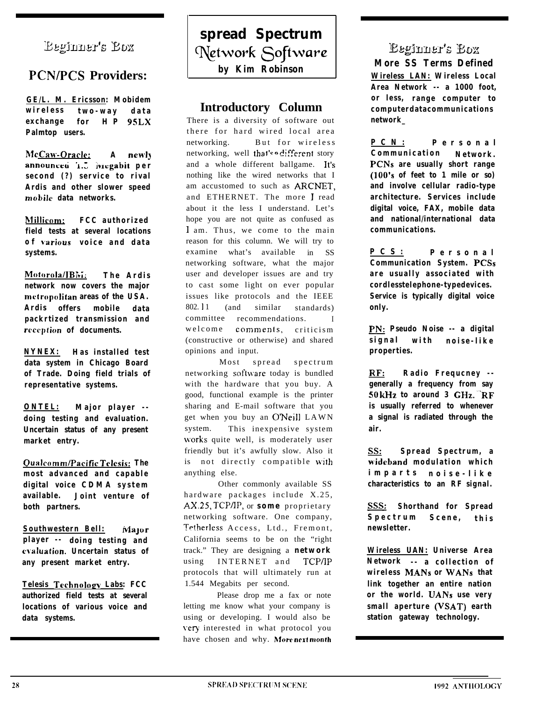### **Eeginner's Box**

### **PCN/PCS Providers:**

**GE/L. M. Ericsson: Mobidem wireless two-way data exchange for HP 9SLX Palmtop users.**

**McCaw-Oracle: A new13** announced 1.5 *iviegabit* per **second (?) service to rival Ardis and other slower speed mobile data networks.**

**hlillicnm: FCC authorized field tests at several locations of r,arious voice and data systems.**

**Motorola/IBi~;: The Ardis network now covers the major metropolitan areas of the USA. Ardis offers mobile data packrtized transmission and reception of documents.**

**NYNEX: Has installed test data system in Chicago Board of Trade. Doing field trials of representative systems.**

**ONTEL: Major player - doing testing and evaluation. Uncertain status of any present market entry.**

**Oualcnmm/PaciticTrlesis: The most advanced and capable digital voice CDMA system available. Joint venture of both partners.**

**Southwestern Bell:** Major **player -- doing testing and cl.aluation. Uncertain status of any present market entry.**

Telesis Technology Labs: FCC **authorized field tests at several locations of various voice and data systems.**

**spread Spectrum Network** Software **by Kim Robinson**

### **Introductory Column**

There is a diversity of software out there for hard wired local area networking. But for wireless networking, well that's a different story and a whole different ballgame. It's nothing like the wired networks that I am accustomed to such as ARCNET, and ETHERNET. The more I read about it the less I understand. Let's hope you are not quite as confused as 1 am. Thus, we come to the main reason for this column. We will try to examine what's available in SS networking software, what the major user and developer issues are and try to cast some light on ever popular issues like protocols and the IEEE  $802.11$  (and similar standards) committee recommendations. welcome comments, criticism (constructive or otherwise) and shared opinions and input.

Most spread spectrum networking software today is bundled with the hardware that you buy. A good, functional example is the printer sharing and E-mail software that you get when you buy an O'Neill LAWN system. This inexpensive system works quite well, is moderately user friendly but it's awfully slow. Also it is not directly compatible with anything else.

Other commonly available SS hardware packages include X.25, AX.25, TCP/IP, or *some* proprietary networking software. One company, Tetherless Access, Ltd., Fremont, California seems to be on the "right track." They are designing a *network* using INTERNET and TCP/IP protocols that will ultimately run at 1.544 Megabits per second.

Please drop me a fax or note letting me know what your company is using or developing. I would also be \'ery interested in what protocol you have chosen and why. **hlore next nionth**

### **Eeginner's Box**

**More SS Terms Defined Wireless LAN: Wireless Local Area Network -- a 1000 foot, or less, range computer to computerdatacommunications network\_**

**PCN: Personal Communication Network. PCNs are usually short range (100's of feet to 1 mile or so) and involve cellular radio-type architecture. Services include digital voice, FAX, mobile data and national/international data communications.**

**PCS: Personal Communication System. PCSs are usually associated with cordlesstelephone-typedevices. Service is typically digital voice only.**

**PN: Pseudo Noise -- a digital signal with noise-like properties.**

**RF: Radio Frequcney - generally a frequency from say 50 kHz to around 3 GHz. -'RF is usually referred to whenever a signal is radiated through the air.**

**ss: Spread Spectrum, a wideband modulation which imparts noise-like characteristics to an RF signal.**

**sss: Shorthand for Spread Spectrum Scene, this newsletter.**

**Wireless UAN: Universe Area Network -- a collection of wireless MANS or WANS that link together an entire nation or the world. UANs use very small aperture (VSAT) earth station gateway technology.**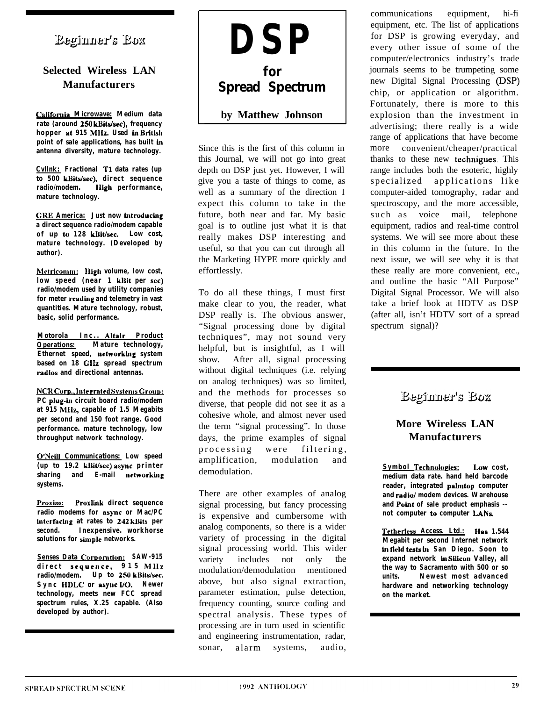### Beginner's Box

### **Selected Wireless LAN Manufacturers**

Cnlifornia **Microwave: Medium data** rate (around 250 **kBits/sec)**, frequency **hopper at 915 MHz. Used ln British point of sale applications, has built ln antenna diversity, mature technology.**

**Cvllnk: Fractional Tl data rates (up** to 500 kBits/sec), direct sequence **radio/modem. High performance, mature technology.**

**CiRE America: Just now introducing a direct sequence radio/modem capable of up to 128 kDit/sec. Low cost, mature technology. (Developed by author).**

**Metricomm: Iligh volume, low cost, low speed (near 1 kBit per set) radio/modem used by utility companies for meter readlng and telemetry in vast quantities. Mature technology, robust, basic, solid performance.**

**Motorola Inc.. Altair Product Operations: Mature technology, Ethernet speed, networking system based on 18 GHz spread spectrum radios and directional antennas.**

**NC~HCorp..ltrtreratrd SystemsGroup:** PC plug-in circuit board radio/modem **at 915 MHz, capable of 1.5 Megabits per second and 150 foot range. Good performance. mature technology, low throughput network technology.**

**O'Ncill Communications: Low speed (up to 19.2 kl)iUsec) async printer sharing and E-mail networking systems.**

**Proxim:** Proxlink direct sequence **radio modems for async or Mac/PC lnterfaclng at rates to 242 kl)its per second. Inexpensive. workhorse solutions for simple networks.**

**Senses Data Cornoration: SAW-915 direct** sequence, **915 MHz radio/modem.** Up to 250 **kBits/sec. Sync HDLC or async I/O. Newer technology, meets new FCC spread spectrum rules, X.25 capable. (Also developed by author).**



L

Since this is the first of this column in this Journal, we will not go into great depth on DSP just yet. However, I will give you a taste of things to come, as well as a summary of the direction I expect this column to take in the future, both near and far. My basic goal is to outline just what it is that really makes DSP interesting and useful, so that you can cut through all the Marketing HYPE more quickly and effortlessly.

To do all these things, I must first make clear to you, the reader, what DSP really is. The obvious answer, "Signal processing done by digital techniques", may not sound very helpful, but is insightful, as I will show. After all, signal processing without digital techniques (i.e. relying on analog techniques) was so limited, and the methods for processes so diverse, that people did not see it as a cohesive whole, and almost never used the term "signal processing". In those days, the prime examples of signal processing were filtering, amplification, modulation and demodulation.

There are other examples of analog signal processing, but fancy processing is expensive and cumbersome with analog components, so there is a wider variety of processing in the digital signal processing world. This wider variety includes not only the modulation/demodulation mentioned above, but also signal extraction, parameter estimation, pulse detection, frequency counting, source coding and spectral analysis. These types of processing are in turn used in scientific and engineering instrumentation, radar, sonar, alarm systems, audio,

communications equipment, hi-fi equipment, etc. The list of applications for DSP is growing everyday, and every other issue of some of the computer/electronics industry's trade journals seems to be trumpeting some new Digital Signal Processing (DSP) chip, or application or algorithm. Fortunately, there is more to this explosion than the investment in advertising; there really is a wide range of applications that have become more convenient/cheaper/practical thanks to these new technigues. This range includes both the esoteric, highly specialized applications like computer-aided tomography, radar and spectroscopy, and the more accessible, such as voice mail, telephone equipment, radios and real-time control systems. We will see more about these in this column in the future. In the next issue, we will see why it is that these really are more convenient, etc., and outline the basic "All Purpose" Digital Signal Processor. We will also take a brief look at HDTV as DSP (after all, isn't HDTV sort of a spread spectrum signal)?

### Beginner's Box

### **More Wireless LAN Manufacturers**

**Symbol Technologies: Low cost, medium data rate. hand held barcode reader, integrated pahntop computer and radio/ modem devices. Warehouse and Point of sale product emphasis - not computer to computer LANs.**

**Tetherless Access. Ltd.: Has 1.544 Megabit per second Internet network ln lleld tes(u ln San Diego. Soon to expand network ln Slllcon Valley, all the way to Sacramento with 500 or so units. Newest most advanced hardware and networking technology on the market.**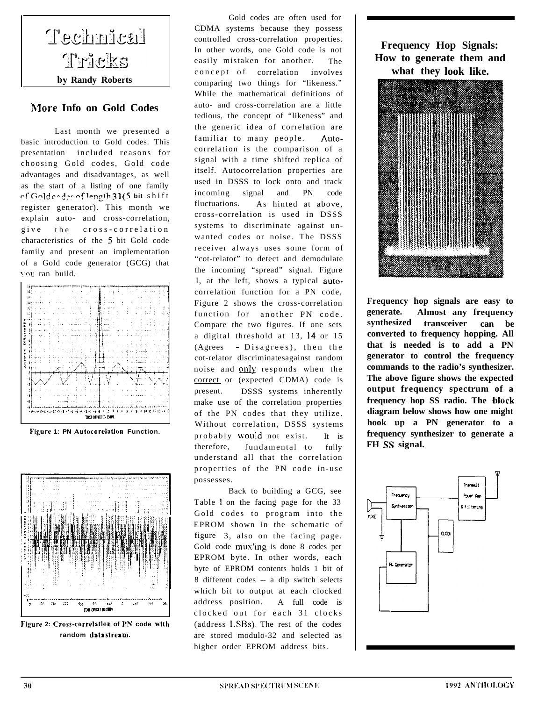

#### **&lore Info on Gold Codes**

Last month we presented a basic introduction to Gold codes. This presentation included reasons for choosing Gold codes, Gold code advantages and disadvantages, as well as the start of a listing of one family of Gold r?dec of **l~"2'h <sup>3</sup> <sup>1</sup> (5 bit** shift register generator). This month we explain auto- and cross-correlation, give the cross-correlation characteristics of the 5 bit Gold code family and present an implementation of a Gold code generator (GCG) that vou ran build.



Figure 1: PN Autocorclation Function.



Figure 2: Cross-correlation of PN code with **random da18 slrcam.**

Gold codes are often used for CDMA systems because they possess controlled cross-correlation properties. In other words, one Gold code is not easily mistaken for another. The concept of correlation involves comparing two things for "likeness." While the mathematical definitions of auto- and cross-correlation are a little tedious, the concept of "likeness" and the generic idea of correlation are familiar to many people. Autocorrelation is the comparison of a signal with a time shifted replica of itself. Autocorrelation properties are used in DSSS to lock onto and track incoming signal and PN code fluctuations. As hinted at above, cross-correlation is used in DSSS systems to discriminate against unwanted codes or noise. The DSSS receiver always uses some form of "cot-relator" to detect and demodulate the incoming "spread" signal. Figure I, at the left, shows a typical autocorrelation function for a PN code, Figure 2 shows the cross-correlation function for another PN code. Compare the two figures. If one sets a digital threshold at 13, 14 or 15 (Agrees - Disagrees), then the cot-relator discriminatesagainst random noise and only responds when the correct or (expected CDMA) code is present. DSSS systems inherently make use of the correlation properties of the PN codes that they utilize. Without correlation, DSSS systems probably would not exist. It is therefore, fundamental to fully understand all that the correlation properties of the PN code in-use possesses.

Back to building a GCG, see Table 1 on the facing page for the 33 Gold codes to program into the EPROM shown in the schematic of figure 3, also on the facing page. Gold code mux'ing is done 8 codes per EPROM byte. In other words, each byte of EPROM contents holds 1 bit of 8 different codes -- a dip switch selects which bit to output at each clocked address position. A full code is clocked out for each 31 clocks (address LSBs). The rest of the codes are stored modulo-32 and selected as higher order EPROM address bits.

**Frequency Hop Signals: How to generate them and what they look like.**



**Frequency hop signals are easy to generate. Almost any frequency synthesized transceiver can be converted to frequency hopping. All that is needed is to add a PN generator to control the frequency commands to the radio's synthesizer. The above figure shows the expected output frequency spectrum of a frequency hop SS radio. The block diagram below shows how one might hook up a PN generator to a frequency synthesizer to generate a FH SS signal.**

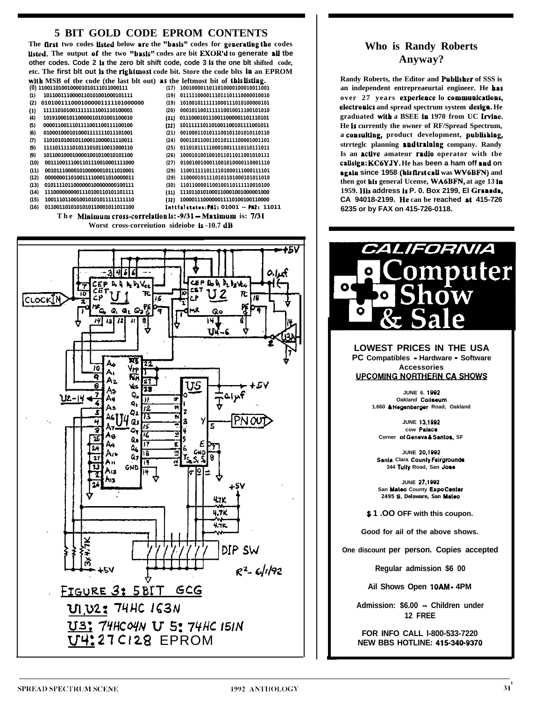### **5 BIT GOLD CODE EPROM CONTENTS**

The first two codes listed below are the "basis" codes for generating the codes listed. The output of the two "basis" codes are bit EXOR'd to generate all the other codes. Code 2 is the zero bit shift code, code 3 is the one bit shifted code, etc. The first blt out is the rightmost code bit. Store the code blts in an EPROM with MSB of the code (the last blt out) as the leftmost bit of this listing.

| $\omega$          | 1100110100100001010111011000111                            | (17) | 1001000011011010000100010011001         |
|-------------------|------------------------------------------------------------|------|-----------------------------------------|
| (1)               | 1011001110000110101001000101111                            | (19) | 0111110000111011101110000010010         |
| (2)               | 0101001110001000001111101000000                            | (19) | 1010010111111000111010100000101         |
| $\left( 3\right)$ | 1111101010011111111001110100001                            | (20) | 0001011001111110010011100101010         |
| (4)               | 1019100010110000010101001100010                            | (21) | 0111000101110011000001101110101         |
| (5)               | 0000110011101111001100111100100                            | (22) | 1011111101101001100101111001011         |
| (6)               | 0100010001010001111111011101001                            | (21) | 0010001101011100101101010110110         |
| (7)               | 1101010100101100011000011110011                            | (24) | 0001101100110110111100001001101         |
| (9)               | 1111011111010111010110011000110                            | (25) | 0110101111100010011110110111011         |
| (9)               | 1011001000100001001010010101100                            | (26) | 1000101001001011011011001010111         |
| (10)              | 0011100111001101110010001111000                            | (27) | 0100100100011001010000110001110         |
| (11)              | 0010111000010100000010111010001                            | (29) | 1100111110111101000111000111101         |
| (12)              | 0000000110100111100011010000011                            | (29) | 1100001011110101101000101011010         |
| (13)              | 01011110110000001000000000100111                           | (30) | 1101100001100100110111110010100         |
| (14)              | 1110000000001110100110101101111                            | (31) | 1110110101000110001001000001000         |
| (15)              | 1001110110010010101011111111110                            | (32) | 1000011100000011110100100110000         |
| (16)              | 0110011010101010110001011011100                            |      | Initialstates: PN1: 01001 -- PN2: 11011 |
|                   | The Minimum cross-correlation is: -9/31 - Maximum is: 7/31 |      |                                         |
|                   |                                                            |      |                                         |



### **Who is Randy Roberts** Anyway?

Randy Roberts, the Editor and Publisher of SSS is an independent entrepreaeurtai engineer. He has over 27 years experience lo communications, electronics and spread spectrum system design. He graduated with a BSEE in 1970 from UC Irvine. He is currently the owner of RF/Spread Spectrum, a consulting, product development, publishing, strrtegle planning andtraining company. Randy Is an active amateur radio operator with the callsign: KC6YJY. He has been a ham off and on again since 1958 (his first call was WV6BFN) and then got his general Ucense, WA6BFN, at age 13 in 1959. His address is P. O. Box 2199, El Granada, CA 94018-2199. He can be reached at 415-726 6235 or by FAX on 415-726-0118.



**LOWEST PRICES IN THE USA** PC Compatibles - Hardware - Software **Accessories** 

**UPCOMING NORTHERN CA SHOWS** 

JUNE 6. 1992 Oakland Collseum 1.660 & Hegenberger Road, Oakland

JUNE 13,1992 cow Palace Corner of Geneva & Santos, SF

JUNE 20,1992 Santa Clara County Fairgrounds 344 Tully Road, San Jose

JUNE 27,1992 San Mateo County Expo Center 2495 S. Delaware, San Mateo

\$1.00 OFF with this coupon.

Good for ail of the above shows.

One discount per person. Copies accepted

Regular admission \$6 00

Ail Shows Open 10AM - 4PM

Admission: \$6.00 - Children under 12 FREE

FOR INFO CALL I-800-533-7220 **NEW BBS HOTLINE: 415-340-9370**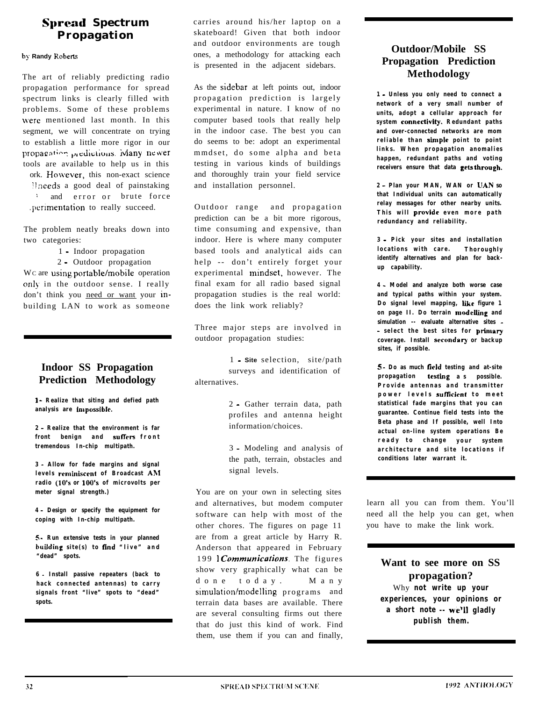### **Spread Spectrum Propagation**

**hy Randy Roheti**

The art of reliably predicting radio propagation performance for spread spectrum links is clearly filled with problems. Some of these problems were mentioned last month. In this segment, we will concentrate on trying to establish a little more rigor in our propagation predictions. Many newer tools are available to help us in this ork. However, this non-exact science llneeds a good deal of painstaking <sup>i</sup> and error or brute force .perimentation to really succeed.

The problem neatly breaks down into two categories:

1 - Indoor propagation

2 - Outdoor propagation

Wc are using portable/mobile operation only, in the outdoor sense. I really don't think you need or want your inbuilding LAN to work as someone

### **Indoor SS Propagation Prediction Methodology**

**I - Realize that siting and defied path** analysis are impossible.

**2 - Realize that the environment is far front benign and suffeers front tremendous In-chip multipath.**

**3 - Allow for fade margins and signal levels rcmlniscent of Broadcast Ah1 radio (10's or 100's of microvolts per meter signal strength.)**

**4 - Design or specify the equipment for coping with In-chip multipath.**

**5 \_ Run extensive tests in your planned building site(s) to fmd "live" and "dead" spots.**

**6** - **Install passive repeaters (back to hack connected antennas) to carry signals front "live" spots to "dead" spots.**

carries around his/her laptop on a skateboard! Given that both indoor and outdoor environments are tough ones, a methodology for attacking each is presented in the adjacent sidebars.

As the sidebar at left points out, indoor propagation prediction is largely experimental in nature. I know of no computer based tools that really help in the indoor case. The best you can do seems to be: adopt an experimental mmdset, do some alpha and beta testing in various kinds of buildings and thoroughly train your field service and installation personnel.

Outdoor range and propagation prediction can be a bit more rigorous, time consuming and expensive, than indoor. Here is where many computer based tools and analytical aids can help -- don't entirely forget your experimental mindset, however. The final exam for all radio based signal propagation studies is the real world: does the link work reliably?

Three major steps are involved in outdoor propagation studies:

1 - **Site** selection, site/path surveys and identification of alternatives.

> 2 - Gather terrain data, path profiles and antenna height information/choices.

3 - Modeling and analysis of the path, terrain, obstacles and signal levels.

You are on your own in selecting sites and alternatives, but modem computer software can help with most of the other chores. The figures on page 11 are from a great article by Harry R. Anderson that appeared in February 199 *Communications*. The figures show very graphically what can be done today. Many simulation/modelling programs and terrain data bases are available. There are several consulting firms out there that do just this kind of work. Find them, use them if you can and finally,

### **Outdoor/Mobile SS Propagation Prediction Methodology**

**1 - Unless you only need to connect a network of a very small number of units, adopt a cellular approach for system connectivity. Redundant paths and over-connected networks are mom reliable than simple point to point links. When propagation anomalies happen, redundant paths and voting** receivers ensure that data gets through.

**2 - Plan your MAN, WAN or UAN so that Individual units can automatically relay messages for other nearby units.** This will provide even more path **redundancy and reliability.**

**3 - Pick your sites and installation locations with care. Thoroughly identify alternatives and plan for backup capability.**

**4 - Model and analyze both worse case and typical paths within your system. Do signal level mapping, Like figure 1 on page II. Do terrain modeliing and simulation -- evaluate alternative sites - - select the best sites for primary coverage. Install secondary or backup sites, if possible.**

**5 - Do as much tleld testing and at-site propagation testing as possible. Provide antennas and transmitter** power levels sufficient to meet **statistical fade margins that you can guarantee. Continue field tests into the Beta phase and If possible, well Into actual on-line system operations Be ready to change your system architecture and site locations if conditions later warrant it.**

learn all you can from them. You'll need all the help you can get, when you have to make the link work.

**Want to see more on SS propagation?** Why **not write up your experiences, your opinions or a short note -- we'll gladly publish them.**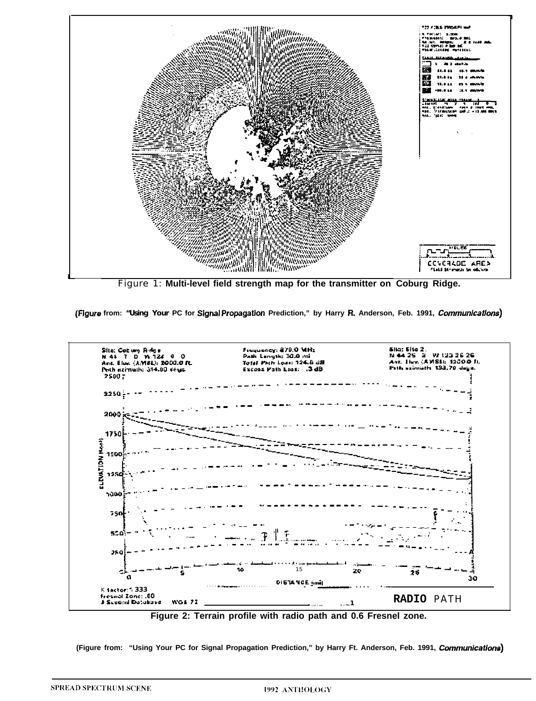

Figure 1: Multi-level field strength map for the transmitter on Coburg Ridge.

(Figure from: "Using Your PC for Signal Propagation Prediction," by Harry R. Anderson, Feb. 1991, Communications)



Figure 2: Terrain profile with radio path and 0.6 Fresnel zone.

(Figure from: "Using Your PC for Signal Propagation Prediction," by Harry Ft. Anderson, Feb. 1991, Communications)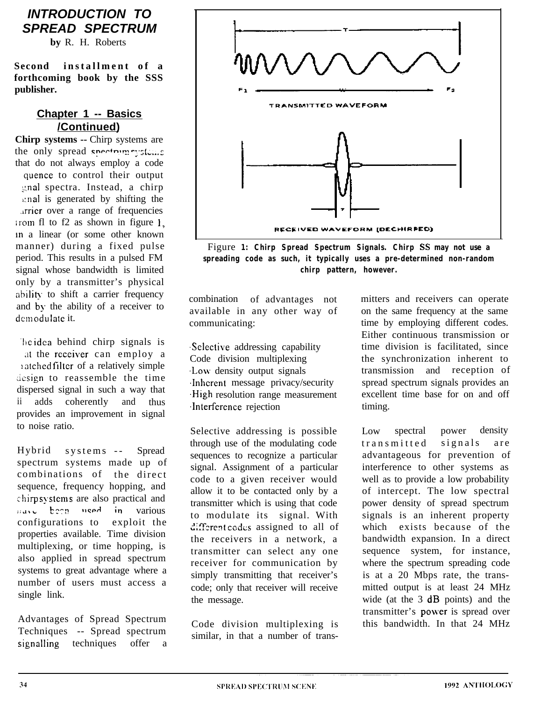### *INTRODUCTION TO SPREAD SPECTRUM*

**by** R. H. Roberts

**Second installment of a forthcoming book by the SSS publisher.**

### **Chapter 1 -- Basics /Continued)**

**Chirp systems --** Chirp systems are the only spread spectrum water that do not always employ a code quence to control their output ::nal spectra. Instead, a chirp ,.:nal is generated by shifting the .irrier over a range of frequencies  $\frac{1}{2}$  irom fl to f2 as shown in figure 1, in a linear (or some other known manner) during a fixed pulse period. This results in a pulsed FM signal whose bandwidth is limited only by a transmitter's physical ability. to shift a carrier frequency and by, the ability of a receiver to demodulate it.

he idea behind chirp signals is at the receiver can employ a ratched filter of a relatively simple design to reassemble the time dispersed signal in such a way that ii adds coherently and thus provides an improvement in signal to noise ratio.

Hybrid systems -- Spread spectrum systems made up of combinations of the direct sequence, frequency hopping, and chirp sy,stems are also practical and  $r_{\text{grav}}$  been used in various configurations to exploit the properties available. Time division multiplexing, or time hopping, is also applied in spread spectrum systems to great advantage where a number of users must access a single link.

Advantages of Spread Spectrum Techniques -- Spread spectrum signalling techniques offer a



Figure **1: Chirp Spread Spectrum Signals. Chirp SS may not use a spreading code as such, it typically uses a pre-determined non-random chirp pattern, however.**

combination of advantages not available in any other way of communicating:

.Sclective addressing capability Code division multiplexing .Low density output signals .Inherent message privacy/security .High resolution range measurement .Interference rejection

Selective addressing is possible through use of the modulating code sequences to recognize a particular signal. Assignment of a particular code to a given receiver would allow it to be contacted only by a transmitter which is using that code to modulate its signal. With different codes assigned to all of the receivers in a network, a transmitter can select any one receiver for communication by simply transmitting that receiver's code; only that receiver will receive the message.

Code division multiplexing is similar, in that a number of transmitters and receivers can operate on the same frequency at the same time by employing different codes. Either continuous transmission or time division is facilitated, since the synchronization inherent to transmission and reception of spread spectrum signals provides an excellent time base for on and off timing.

Low spectral power density transmitted signals are advantageous for prevention of interference to other systems as well as to provide a low probability of intercept. The low spectral power density of spread spectrum signals is an inherent property which exists because of the bandwidth expansion. In a direct sequence system, for instance, where the spectrum spreading code is at a 20 Mbps rate, the transmitted output is at least 24 MHz wide (at the 3 dB points) and the transmitter's power is spread over this bandwidth. In that 24 MHz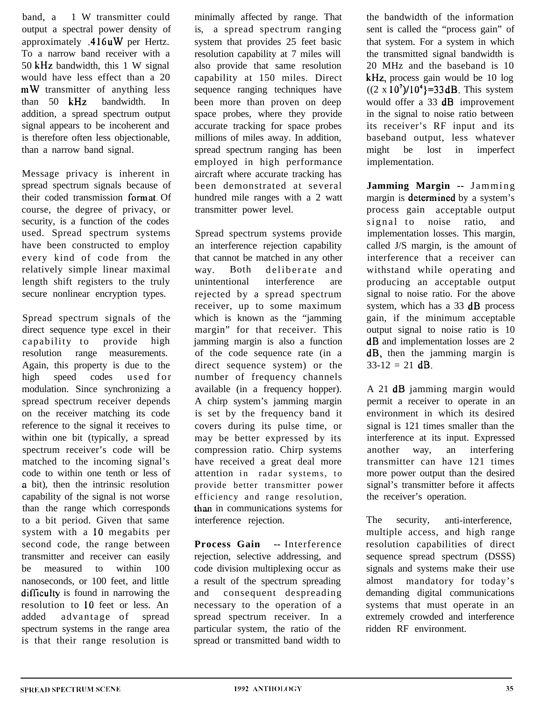band, a 1 W transmitter could output a spectral power density of approximately .416 UW per Hertz. To a narrow band receiver with a 50 kHz bandwidth, this 1 W signal would have less effect than a 20 mW transmitter of anything less than 50 kHz bandwidth. In addition, a spread spectrum output signal appears to be incoherent and is therefore often less objectionable, than a narrow band signal.

Message privacy is inherent in spread spectrum signals because of their coded transmission fomiat. Of course, the degree of privacy, or security, is a function of the codes used. Spread spectrum systems have been constructed to employ every kind of code from the relatively simple linear maximal length shift registers to the truly secure nonlinear encryption types.

Spread spectrum signals of the direct sequence type excel in their capability to provide high resolution range measurements. Again, this property is due to the high speed codes used for modulation. Since synchronizing a spread spectrum receiver depends on the receiver matching its code reference to the signal it receives to within one bit (typically, a spread spectrum receiver's code will be matched to the incoming signal's code to within one tenth or less of a bit), then the intrinsic resolution capability of the signal is not worse than the range which corresponds to a bit period. Given that same system with a 10 megabits per second code, the range between transmitter and receiver can easily be measured to within 100 nanoseconds, or 100 feet, and little difficulty is found in narrowing the resolution to 10 feet or less. An added advantage of spread spectrum systems in the range area is that their range resolution is

minimally affected by range. That is, a spread spectrum ranging system that provides 25 feet basic resolution capability at 7 miles will also provide that same resolution capability at 150 miles. Direct sequence ranging techniques have been more than proven on deep space probes, where they provide accurate tracking for space probes millions of miles away. In addition, spread spectrum ranging has been employed in high performance aircraft where accurate tracking has been demonstrated at several hundred mile ranges with a 2 watt transmitter power level.

Spread spectrum systems provide an interference rejection capability that cannot be matched in any other way. Both deliberate and unintentional interference are rejected by a spread spectrum receiver, up to some maximum which is known as the "jamming margin" for that receiver. This jamming margin is also a function of the code sequence rate (in a direct sequence system) or the number of frequency channels available (in a frequency hopper). A chirp system's jamming margin is set by the frequency band it covers during its pulse time, or may be better expressed by its compression ratio. Chirp systems have received a great deal more attention in radar systems, to provide better transmitter power efficiency and range resolution, than in communications systems for interference rejection.

**Process Gain --** Interference rejection, selective addressing, and code division multiplexing occur as a result of the spectrum spreading and consequent despreading necessary to the operation of a spread spectrum receiver. In a particular system, the ratio of the spread or transmitted band width to

the bandwidth of the information sent is called the "process gain" of that system. For a system in which the transmitted signal bandwidth is 20 MHz and the baseband is 10 kHz, process gain would be 10 log  $((2 \times 10^7)/10^4) = 33$  dB. This system would offer a 33 **dB** improvement in the signal to noise ratio between its receiver's RF input and its baseband output, less whatever might be lost in imperfect implementation.

**Jamming Margin --** Jamming margin is determined by a system's process gain acceptable output signal to noise ratio, and implementation losses. This margin, called J/S margin, is the amount of interference that a receiver can withstand while operating and producing an acceptable output signal to noise ratio. For the above system, which has a 33 dB process gain, if the minimum acceptable output signal to noise ratio is 10 dB and implementation losses are 2 dB, then the jamming margin is  $33-12 = 21$  dB.

A 21 dB jamming margin would permit a receiver to operate in an environment in which its desired signal is 121 times smaller than the interference at its input. Expressed another way, an interfering transmitter can have 121 times more power output than the desired signal's transmitter before it affects the receiver's operation.

The security, anti-interference, multiple access, and high range resolution capabilities of direct sequence spread spectrum (DSSS) signals and systems make their use almost mandatory for today's demanding digital communications systems that must operate in an extremely crowded and interference ridden RF environment.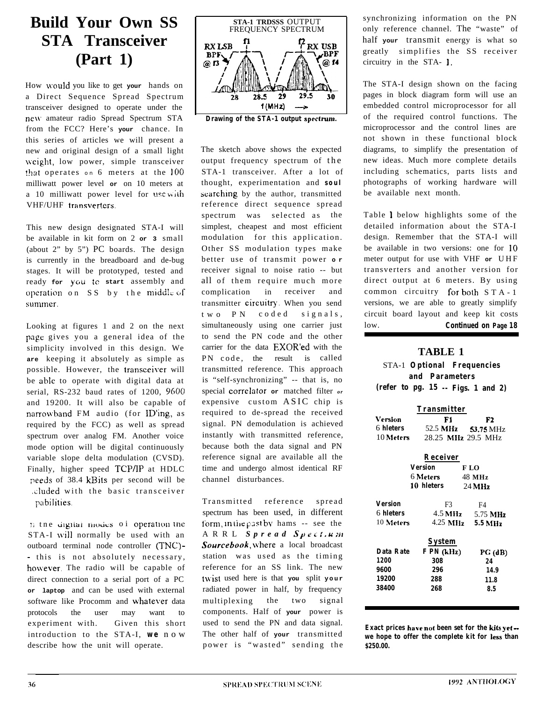# **Build Your Own SS STA Transceiver (Part 1)**

How would you like to get your hands on a Direct Sequence Spread Spectrum transceiver designed to operate under the new amateur radio Spread Spectrum STA from the FCC? Here's **your** chance. In this series of articles we will present a new and original design of a small light weight, low power, simple transceiver that operates on 6 meters at the 100 milliwatt power level **or** on 10 meters at a 10 milliwatt power level for usc with VHF/UHF transverters.

This new design designated STA-I will be available in kit form on 2 **or 3** small (about 2" by 5") PC boards. The design is currently in the breadboard and de-bug stages. It will be prototyped, tested and ready **for yoii :c start** assembly and operation on  $SS$  by the middle of summer.

Looking at figures 1 and 2 on the next page gives you a general idea of the simplicity involved in this design. We **are** keeping it absolutely as simple as possible. However, the transceiver will be able to operate with digital data at serial, RS-232 baud rates of 1200, 9600 and 19200. It will also be capable of narrowband FM audio (for ID'ing, as required by the FCC) as well as spread spectrum over analog FM. Another voice mode option will be digital continuously variable slope delta modulation (CVSD). Finally, higher speed TCP/IP at HDLC peeds of 38.4 kBits per second will be .<luded with the basic transceiver pabilities.

If the digital modes of operation the STA-I will normally be used with an outboard terminal node controller (TNC) - - this is not absolutely necessary, however. The radio will be capable of direct connection to a serial port of a PC **or laptop** and can be used with external software like Procomm and whatever data protocols the user may want to experiment with. Given this short introduction to the STA-I, **we** now describe how the unit will operate.



The sketch above shows the expected output frequency spectrum of the STA-1 transceiver. After a lot of thought, experimentation and **soul** searching by the author, transmitted reference direct sequence spread spectrum was selected as the simplest, cheapest and most efficient modulation for this application. Other SS modulation types make better use of transmit power **o r** receiver signal to noise ratio -- but all of them require much more complication in receiver and transmitter circuitry. When you send two PN coded signals, simultaneously using one carrier just to send the PN code and the other carrier for the data EXOR'ed with the PN code, the result is called transmitted reference. This approach is "self-synchronizing" -- that is, no special correlator **or** matched filter *or* expensive custom ASIC chip is required to de-spread the received signal. PN demodulation is achieved instantly with transmitted reference, because both the data signal and PN reference signal are available all the time and undergo almost identical RF channel disturbances.

Transmitted reference spread spectrum has been used, in different form, in the past by hams -- see the ARRL *Spread Syrc~. K,W* Sourcebook, where a local broadcast station was used as the timing reference for an SS link. The new t\vist used here is that **you** split **your** radiated power in half, by frequency multiplexing the two signal components. Half of **your** power is used to send the PN and data signal. The other half of **your** transmitted power is "wasted" sending the synchronizing information on the PN only reference channel. The "waste" of half **your** transmit energy is what so greatly simplifies the SS receiver circuitry in the STA- 1.

The STA-I design shown on the facing pages in block diagram form will use an embedded control microprocessor for all of the required control functions. The microprocessor and the control lines are not shown in these functional block diagrams, to simplify the presentation of new ideas. Much more complete details including schematics, parts lists and photographs of working hardware will be available next month.

Table 1 below highlights some of the detailed information about the STA-I design. Remember that the STA-I will be available in two versions: one for 10 meter output for use with VHF **or** UHF transverters and another version for direct output at 6 meters. By using common circuitry for both STA-1 versions, we are able to greatly simplify circuit board layout and keep kit costs low. **Continued on Page 18**

### **TABLE 1**

STA-1 **Optional Frequencies and Parameters (refer to pg. 15 -- Figs. 1 and 2)**

| Transmitter      |                      |                    |  |  |  |  |  |  |  |  |  |
|------------------|----------------------|--------------------|--|--|--|--|--|--|--|--|--|
| Version          | F1                   | F2                 |  |  |  |  |  |  |  |  |  |
| 6 <b>hleters</b> | 52.5 MHz 53.75 MHz   |                    |  |  |  |  |  |  |  |  |  |
| 10 Meters        | 28.25 MHz 29.5 MHz   |                    |  |  |  |  |  |  |  |  |  |
|                  | R eceiver            |                    |  |  |  |  |  |  |  |  |  |
|                  | Version<br>F LO      |                    |  |  |  |  |  |  |  |  |  |
|                  | 6 Meters -           | 48 MH <sub>z</sub> |  |  |  |  |  |  |  |  |  |
|                  | 10 hleters           | 24 MH <sub>2</sub> |  |  |  |  |  |  |  |  |  |
| Version          | F3                   | F4                 |  |  |  |  |  |  |  |  |  |
| 6 <b>hleters</b> | $4.5 \,\mathrm{MHz}$ | 5.75 MHz           |  |  |  |  |  |  |  |  |  |
| $10$ Meters      | 4.25 MHz 5.5 MHz     |                    |  |  |  |  |  |  |  |  |  |
|                  | Evetom               |                    |  |  |  |  |  |  |  |  |  |

| System     |             |
|------------|-------------|
| F PN (kHz) | $PG$ $(dB)$ |
| 308        | 24          |
| 296        | 149         |
| 288        | 11.8        |
| 268        | 85          |
|            |             |

**Exact prices have not been set for the kifs yet we hope to offer the complete kit for less than \$250.00.**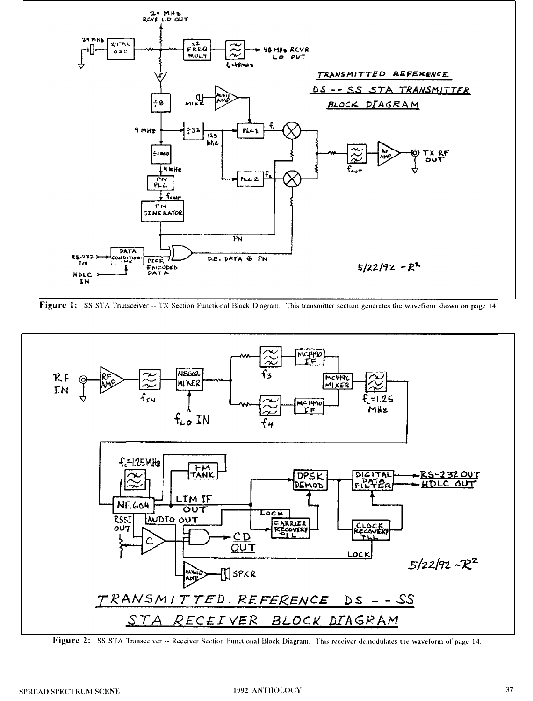

Figure 1: SS STA Transceiver -- TX Section Functional Block Diagram. This transmitter section generates the waveform shown on page 14.



Figure 2: SS STA Transceiver -- Receiver Section Functional Block Diagram. This receiver demodulates the waveform of page 14.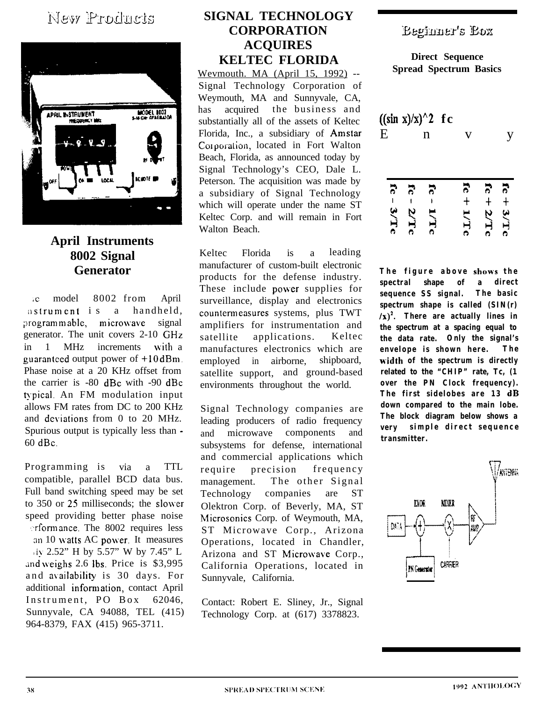### New Products



### **April Instruments 8002 Signal Generator**

c model 8002 from April astrument is a handheld, programmable, microwave signal generator. The unit covers 2-10 GHz in 1 MHz increments with a guaranteed output power of  $+10$  dBm. Phase noise at a 20 KHz offset from the carrier is -80 dBc with -90 dBc typical. An FM modulation input allows FM rates from DC to 200 KHz and deviations from 0 to 20 MHz. Spurious output is typically less than - 60 dBc.

Programming is via a TTL compatible, parallel BCD data bus. Full band switching speed may be set to 350 or 25 milliseconds; the slower speed providing better phase noise ..rfomrance. The 8002 requires less an 10 watts AC power. It measures ,i?, 2.52" H by 5.57" W by 7.45" L and weighs 2.6 lbs. Price is \$3,995 and availability is 30 days. For additional information, contact April Instrument, PO Box 62046, Sunnyvale, CA 94088, TEL (415) 964-8379, FAX (415) 965-3711.

### **SIGNAL TECHNOLOGY CORPORATION ACQUIRES KELTEC FLORIDA**

Wevmouth. MA (April 15, 1992) -- Signal Technology Corporation of Weymouth, MA and Sunnyvale, CA, has acquired the business and substantially all of the assets of Keltec Florida, Inc., a subsidiary of Amstar Corporation, located in Fort Walton Beach, Florida, as announced today by Signal Technology's CEO, Dale L. Peterson. The acquisition was made by a subsidiary of Signal Technology which will operate under the name ST Keltec Corp. and will remain in Fort Walton Beach.

Keltec Florida is a leading manufacturer of custom-built electronic products for the defense industry. These include power supplies for surveillance, display and electronics countermeasures systems, plus TWT amplifiers for instrumentation and satellite applications. Keltec manufactures electronics which are employed in airborne, shipboard, satellite support, and ground-based environments throughout the world.

Signal Technology companies are leading producers of radio frequency and microwave components and subsystems for defense, international and commercial applications which require precision frequency management. The other Signal Technology companies are ST Olektron Corp. of Beverly, MA, ST Microsonics Corp. of Weymouth, MA, ST Microwave Corp., Arizona Operations, located in Chandler, Arizona and ST Microwave Corp., California Operations, located in Sunnyvale, California.

Contact: Robert E. Sliney, Jr., Signal Technology Corp. at (617) 3378823.

### **Eeginner's Eox**

**Direct Sequence Spread Spectrum Basics**

| E |                   | $((\sin x)/x)^2$ | n | fc |         |        |              |
|---|-------------------|------------------|---|----|---------|--------|--------------|
|   | $\vec{c}$<br>3/Tc | 5                | ನ |    | 5<br>੍ਰ | 5<br>ゝ | 5<br>メコ<br>Ò |

**The figure above shows the spectral shape of a direct sequence SS signal. The basic spectrum shape is called (SIN(r)**  $(\chi)^2$ . There are actually lines in **the spectrum at a spacing equal to the data rate. Only the signal's envelope is shown here. The width of the spectrum is directly related to the "CHIP" rate, Tc, (1 over the PN Clock frequency). The first sidelobes are 13 dB down compared to the main lobe. The block diagram below shows a very simple direct sequence transmitter.**

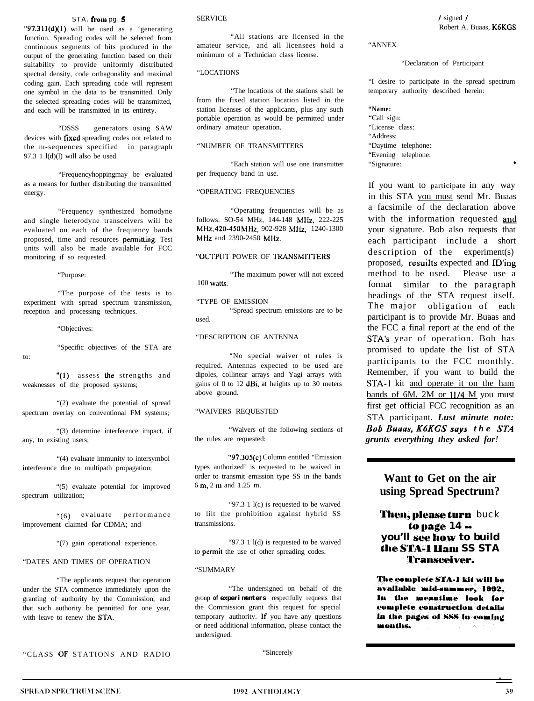#### STA. from pg. 5 SERVICE

"97.311 $(d)(1)$  will be used as a 'generating function. Spreading codes will be selected from continuous segments of bits produced in the output of the generating function based on their suitability to provide uniformly distributed spectral density, code orthagonality and maximal coding gain. Each spreading code will represent one symbol in the data to be transmitted. Only the selected spreading codes will be transmitted, and each will be transmitted in its entirety.

"DSSS generators using SAW devices with fixed spreading codes not related to the m-sequences specified in paragraph 97.3 1  $l$ (d)(l) will also be used.

"Frequencyhoppingmay be evaluated as a means for further distributing the transmitted energy.

"Frequency synthesized homodyne and single heterodyne transceivers will be evaluated on each of the frequency bands proposed, time and resources permitting. Test units will also be made available for FCC monitoring if so requested.

"The purpose of the tests is to experiment with spread spectrum transmission, reception and processing techniques.

"Objectives:

"Specific objectives of the STA are

to:

"(1) assess the strengths and weaknesses of the proposed systems;

"(2) evaluate the potential of spread spectrum overlay on conventional FM systems; "WAIVERS REQUESTED

"(3) determine interference impact, if any, to existing users;

"(4) evaluate immunity to intersymbol interference due to multipath propagation;

"(5) evaluate potential for improved spectrum utilization;

"(6) evaluate performance improvement claimed for CDMA; and

"(7) gain operational experience.

#### "DATES AND TIMES OF OPERATION

"The applicants request that operation under the STA commence immediately upon the granting of authority by the Commission, and that such authority be pennitted for one year, with leave to renew the STA.

"All stations are licensed in the amateur service, and all licensees hold a minimum of a Technician class license.

#### "LOCATIONS

"The locations of the stations shall be from the fixed station location listed in the station licenses of the applicants, plus any such portable operation as would be permitted under ordinary amateur operation.

#### "NUMBER OF TRANSMITTERS

"Each station will use one transmitter per frequency band in use.

#### "OPERATING FREQUENCIES

"Operating frequencies will be as follows: SO-54 MHz, 144-148 MHz, 222-225 MHz, 420-450 MHz, 902-928 MHz, 1240-1300 MHz and 2390-2450 MHz.

#### "OUTPUT POWER OF TRANSMITTERS

"Purpose: "The maximum power will not exceed 100 watts.

> "TYPE OF EMISSION "Spread spectrum emissions are to be used.

#### "DESCRIPTION OF ANTENNA

"No special waiver of rules is required. Antennas expected to be used are dipoles, collinear arrays and Yagi arrays with gains of 0 to 12  $dB_i$ , at heights up to 30 meters above ground.

"Waivers of the following sections of the rules are requested:

"97.305(c) Column entitled "Emission types authorized' is requested to be waived in order to transmit emission type SS in the bands 6 m, 2 m and 1.25 m.

"97.3 1 l(c) is requested to be waived to lilt the prohibition against hybrid SS transmissions.

"97.3 1 l(d) is requested to be waived to **permit** the use of other spreading codes.

#### "SUMMARY

"The undersigned on behalf of the group **of experimenters** respectfully requests that the Commission grant this request for special temporary authority. If you have any questions or need additional information, please contact the undersigned.

"CLASS OF STATIONS AND RADIO "Sincerely

#### "ANNEX

#### "Declaration of Participant

"I desire to participate in the spread spectrum temporary authority described herein:

**"Name:** "Call sign: "License class: "Address: "Daytime telephone: "Evening telephone: "Signature:

If you want to participate in any way in this STA you must send Mr. Buaas a facsimile of the declaration above with the information requested and your signature. Bob also requests that each participant include a short description of the experiment(s) proposed, resuilts expected and ID'ing method to be used. Please use a format similar to the paragraph headings of the STA request itself. The major obligation of each participant is to provide Mr. Buaas and the FCC a final report at the end of the STA's year of operation. Bob has promised to update the list of STA participants to the FCC monthly. Remember, if you want to build the STA-I kit and operate it on the ham bands of  $6M$ . 2M or  $11/4$  M you must first get official FCC recognition as an STA participant. *Lust minute note: Bob Uuuus, K6KGS suys the STA grunts everything they asked for!*

### **Want to Get on the air using Spread Spectrum?**

#### Then, please turn buck **lo pugc 14 you'll see how to build ahe ST&l &ma SS STA Transettiver.**

The complete STA-1 kit will be available mid-summer. 1992. In the meantime look for complete construction details In the pages of SSS in coming months.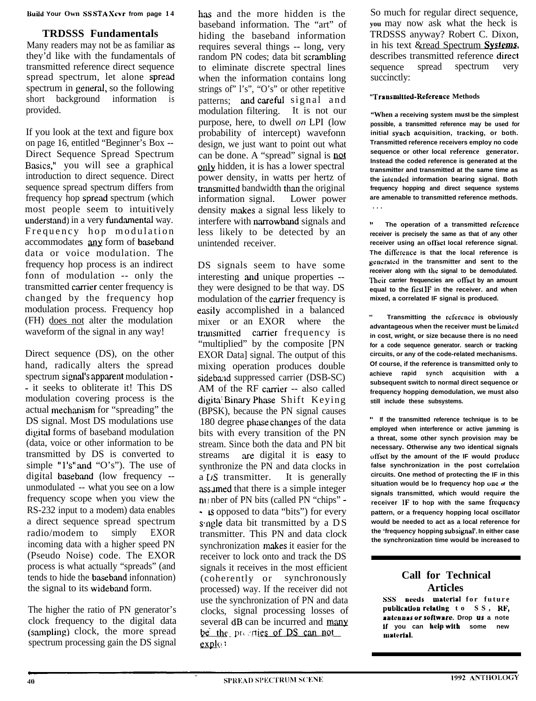Build **Your Own SS STA Scvr from page 1 4**

### **TRDSSS Fundamentals**

Many readers may not be as familiar as they'd like with the fundamentals of transmitted reference direct sequence spread spectrum, let alone spread spectrum in general, so the following short background information is provided.

If you look at the text and figure box on page 16, entitled "Beginner's Box -- Direct Sequence Spread Spectrum Basics," you will see a graphical introduction to direct sequence. Direct sequence spread spectrum differs from frequency hop spread spectrum (which most people seem to intuitively understand) in a very fundamental way. Frequency hop modulation accommodates any form of baseband data or voice modulation. The frequency hop process is an indirect fonn of modulation -- only the transmitted carrier center frequency is changed by the frequency hop modulation process. Frequency hop (FH) does not alter the modulation waveform of the signal in any way!

Direct sequence (DS), on the other hand, radically alters the spread spectrum signal's apparent modulation -- it seeks to obliterate it! This DS modulation covering process is the actual mechanism for "spreading" the DS signal. Most DS modulations use digital forms of baseband modulation (data, voice or other information to be transmitted by DS is converted to simple " $l's''$  and " $O's$ "). The use of digital baseband (low frequency -unmodulated -- what you see on a low frequency scope when you view the RS-232 input to a modem) data enables a direct sequence spread spectrum radio/modem to simply EXOR incoming data with a higher speed PN (Pseudo Noise) code. The EXOR process is what actually "spreads" (and tends to hide the baseband infonnation) the signal to its wideband form.

The higher the ratio of PN generator's clock frequency to the digital data (sampling) clock, the more spread spectrum processing gain the DS signal

has and the more hidden is the baseband information. The "art" of hiding the baseband information requires several things -- long, very random PN codes; data bit scrambling to eliminate discrete spectral lines when the information contains long strings of" l's", "O's" or other repetitive patterns; and careful signal and modulation filtering. It is not our purpose, here, to dwell *on* LPI (low probability of intercept) wavefonn design, we just want to point out what can be done. A "spread" signal is not only hidden, it is has a lower spectral power density, in watts per hertz of transmitted bandwidth than the original information signal. Lower power density makes a signal less likely to interfere with narrowband signals and less likely to be detected by an unintended receiver.

DS signals seem to have some interesting and unique properties -they were designed to be that way. DS modulation of the carrier frequency is easily accomplished in a balanced mixer or an EXOR where the transmitted carrier frequency is "multiplied" by the composite [PN EXOR Data] signal. The output of this mixing operation produces double sideband suppressed carrier (DSB-SC) AM of the RF carrier -- also called digita: Binary Phase Shift Keying (BPSK), because the PN signal causes 180 degree phase changes of the data bits with every transition of the PN stream. Since both the data and PN bit streams are digital it is easy to synthronize the PN and data clocks in a **DS** transmitter. It is generally assumed that there is a simple integer m I nber of PN bits (called PN "chips" -\_ ts opposed to data "bits") for every single data bit transmitted by a DS transmitter. This PN and data clock synchronization makes it easier for the receiver to lock onto and track the DS signals it receives in the most efficient (coherently or synchronously processed) way. If the receiver did not use the synchronization of PN and data clocks, signal processing losses of several dB can be incurred and many clocks, signal processing losses<br>several dB can be incurred and m<br>be the presenties of DS can not  $exp<sub>10</sub>$ 

So much for regular direct sequence, **you** may now ask what the heck is TRDSSS anyway? Robert C. Dixon, in his text &read Spectrum Systems, describes transmitted reference direct sequence spread spectrum very succinctly:

#### **"Transmltted-Reference Methods**

**"When a receiving system musl be the simplest possible, a transmitted reference may be used for initial syuch acquisition, tracking, or both. Transmitted reference receivers employ no code sequence or other local reference generator. Instead the coded reference is generated at the transmitter and transmitted at the same time as the intended information bearing signal. Both frequency hopping and direct sequence systems are amenable to transmitted reference methods. . . .**

**<sup>11</sup> The operation of a transmitted reference receiver is precisely the same as that of any other receiver using an offset local reference signal. The difl'crcnce is that the local reference is generated in the transmitter and sent to the** receiver along with the signal to be demodulated. Their carrier frequencies are offset by an amount **equal to the first IF in the receiver. and when mixed, a correlated IF signal is produced.**

**Transmitting the reference is obviously advantageous when the receiver must be limitrd in cost, wright, or size because there is no need for a code sequence generator. search or tracking circuits, or any of the code-related mechanisms. Of course, if the reference is transmitted only to achieve rapid synch acquisition with a subsequent switch to normal direct sequence or frequency hopping demodulation, we must also still include these subsystems.**

**" If the transmitted reference technique is to be employed when interference or active jamming is a threat, some other synch provision may be necessary. Otherwise any two identical signals offset by the amount of the IF would product** false synchronization in the post correlation **circuits. One method of protecting the IF in this situation would be lo frequency hop we of the signals transmitted, which would require the receiver IF to hop with the same frequency pattern, or a frequency hopping local oscillator would be needed to act as a local reference for the 'frequency hopping subsignal'. In either case the synchronization time would be increased to**

### **Call for Technical Articles**

**sss ueeds material** for future publication relating to SS, RF, **uuleuuus ur soflware. Drop us a note If you can help wllh some new** material.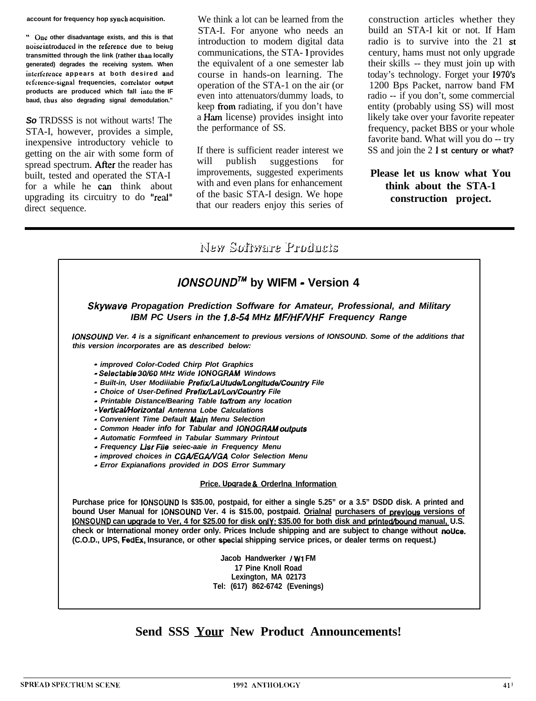**account for frequency hop syuch acquisition.**

**" Oue other disadvantage exists, and this is that uoise introduced in the refereuce due to beiug transmitted through the link (rather thau locally generated) degrades the receiving system. When iuterference appears at both desired aud** reference-signal frequencies, correlator output **products are produced which fall into the IF baud, thus also degrading signal demodulation."**

*So* TRDSSS is not without warts! The STA-I, however, provides a simple, inexpensive introductory vehicle to getting on the air with some form of spread spectrum. After the reader has built, tested and operated the STA-I for a while he can think about upgrading its circuitry to do "real" direct sequence.

We think a lot can be learned from the STA-I. For anyone who needs an introduction to modem digital data communications, the STA- 1 provides the equivalent of a one semester lab course in hands-on learning. The operation of the STA-1 on the air (or even into attenuators/dummy loads, to keep from radiating, if you don't have a Ham license) provides insight into the performance of SS.

If there is sufficient reader interest we will publish suggestions for improvements, suggested experiments with and even plans for enhancement of the basic STA-I design. We hope that our readers enjoy this series of

construction articles whether they build an STA-I kit or not. If Ham radio is to survive into the 21 st century, hams must not only upgrade their skills -- they must join up with today's technology. Forget your 1970's 1200 Bps Packet, narrow band FM radio -- if you don't, some commercial entity (probably using SS) will most likely take over your favorite repeater frequency, packet BBS or your whole favorite band. What will you do -- try SS and join the 2 1 **st century or what?**

### **Please let us know what You think about the STA-1 construction project.**

### New Software Products

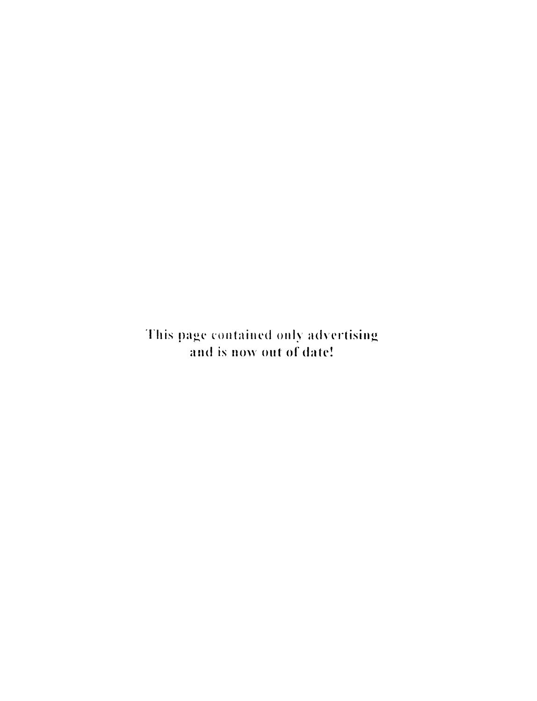This page contained only advertising and is now out of date!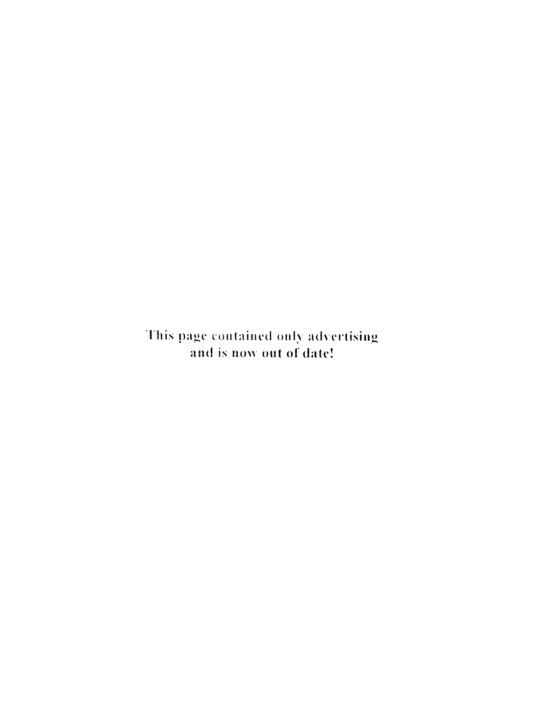This page contained only advertising and is now out of date!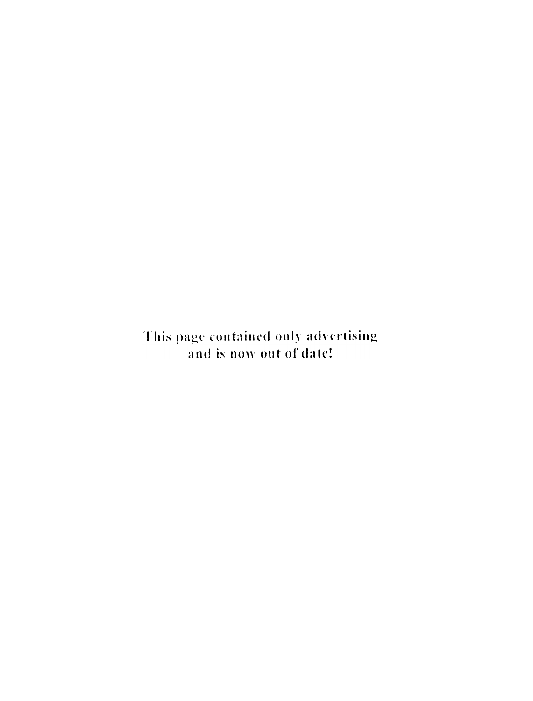This page contained only advertising and is now out of date!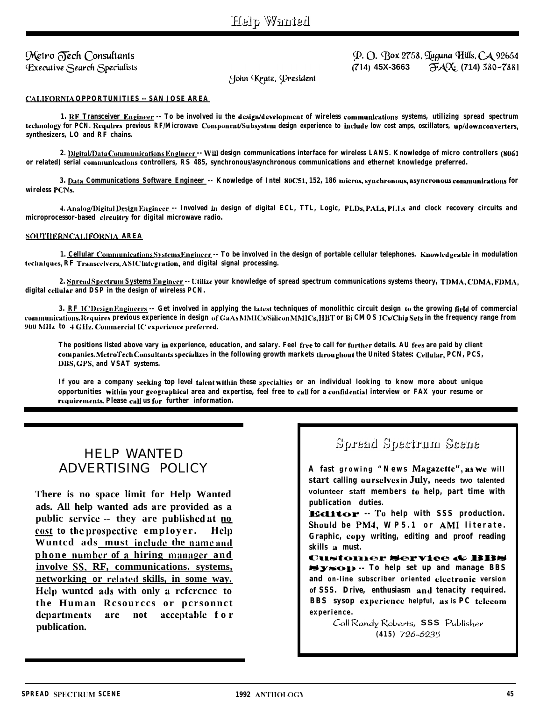### Metro Fech Consultants Executive Search Specialists

P. O. Box 2758, Jaguna Hills, CA 92654  $\frac{7}{4}$   $\frac{1}{4}$   $\frac{1}{4}$   $\frac{1}{4}$   $\frac{1}{4}$   $\frac{1}{4}$   $\frac{1}{4}$   $\frac{1}{4}$   $\frac{1}{4}$   $\frac{1}{4}$   $\frac{1}{4}$   $\frac{1}{4}$   $\frac{1}{4}$   $\frac{1}{4}$   $\frac{1}{4}$   $\frac{1}{4}$   $\frac{1}{4}$   $\frac{1}{4}$   $\frac{1}{4}$   $\frac{1}{4}$   $\frac{1}{4}$   $\frac{1}{4}$   $(714)$  45X-3663

John Kratz, President

#### **CALIFORNIA OPPORTUNITIES -- SAN JOSE AREA**

1. RF Transceiver Engineer -- To be involved in the design/development of wireless communications systems, utilizing spread spectrum technology for PCN. Requires previous RF/Microwave Component/Subsystem design experience to include low cost anns, oscillators, up/downconverters, synthesizers, LO and RF chains.

2. Digital/Data Communications Engineer -- Will design communications interface for wireless LANS. Knowledge of micro controllers (8061 or related) serial communications controllers, RS 485, synchronous/asynchronous communications and ethernet knowledge preferred.

3. Data Communications Software Engineer -- Knowledge of Intel 80C51, 152, 186 micros, synchronous, asyncronous communications for wireless PCNs.

4. Analog/Digital Design Engineer -- Involved in design of digital ECL, TTL, Logic, PLDs, PALs, PLLs and clock recovery circuits and microprocessor-based circuitry for digital microwave radio.

#### SOUTHERN CALIFORNIA AREA

1. Cellular Communications Systems Engineer -- To be involved in the design of portable cellular telephones. Knowledgeable in modulation techniques, RF Transceivers, ASIC integration, and digital signal processing.

2. Spread Spectrum Systems Engineer -- Utilize your knowledge of spread spectrum communications systems theory, TDMA, CDMA, FDMA, digital cellular and DSP in the design of wireless PCN.

3. RF IC Design Engineers -- Get involved in applying the latest techniques of monolithic circuit design to the growing field of commercial communications. Requires previous experience in design of GaAs MMICs/Silicon MMICs, HBT or Bi CMOS ICs/ChipSets in the frequency range from 900 MHz to 4 GHz. Commercial IC experience preferred.

The positions listed above vary in experience, education, and salary. Feel free to call for further details. AU fees are paid by client companies. MetroTech Consultants specializes in the following growth markets throughout the United States: Cellular, PCN, PCS, DBS, GPS, and VSAT systems.

If you are a company seeking top level talent within these specialties or an individual looking to know more about unique opportunities within your geographical area and expertise, feel free to call for a confidential interview or FAX your resume or requirements. Please call us for further information.

### **HELP WANTED** ADVERTISING POLICY

There is no space limit for Help Wanted ads. All help wanted ads are provided as a public service -- they are published at no cost to the prospective employer. Help Wunted ads must include the name and phone number of a hiring manager and involve SS, RF, communications. systems, networking or related skills, in some way. Help wunted ads with only a reference to the Human Resources or personnet departments are not acceptable for publication.

### Spread Spectrum Scene

A fast growing "News Magazette", as we will start calling ourselves in July, needs two talented volunteer staff members to help, part time with publication duties.

**Editor** -- To help with SSS production. Should be PM4, WP5.1 or AMI literate. Graphic, copy writing, editing and proof reading skills a must.

**Customer Service & BBS** Sysop -- To help set up and manage BBS and on-line subscriber oriented electronic version of SSS. Drive, enthusiasm and tenacity required. BBS sysop experience helpful, as is PC telecom experience.

> Call Randy Roberts, SSS Publisher  $(415)$  726-6235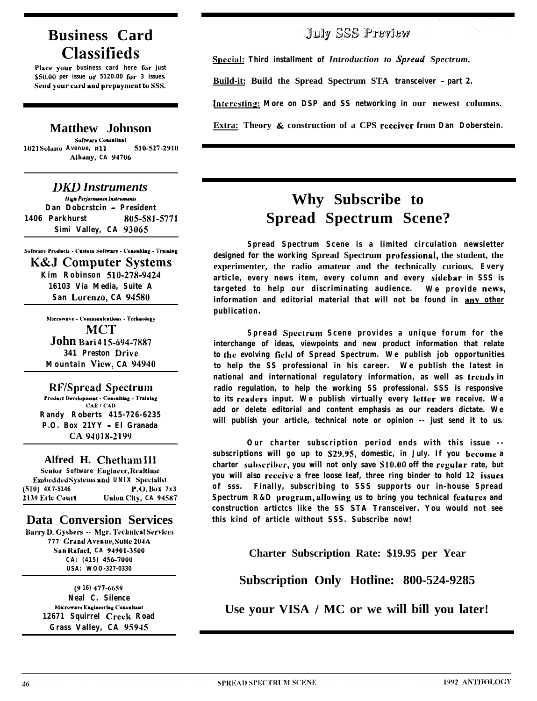### **Business Card Classifieds**

Place your business card here for just \$50.00 per issue or 5120.00 for 3 issues. Send your card and prepayment to SSS.

### **Matthew Johnson**

Software Consultant 510-527-2910 1021 Solano Avenue, #11 Albany, CA 94706

**DKD** Instruments High Performance Instruments **Dan Doberstein - President** 805-581-5771 **1406 Parkhurst** Simi Valley, CA 93065

Software Products - Custom Software - Consulting - Training **K&J Computer Systems** Kim Robinson 510-278-9424 16103 Via Media Suite A San Lorenzo, CA 94580

> Microwave - Communications - Technology **MCT** John Bari 415-694-7887 341 Preston Drive Mountain View, CA 94940

**RF/Spread Spectrum** Product Development - Consulting - Training CAE / CAD **Randy Roberts 415-726-6235** 

P.O. Box 21YY - El Granada CA 94018-2199

Alfred H. Chetham III Senlor Software Engineer, Realtime Embedded Systems and UNIX Specialist  $(510)$  4X7-5146 P.O. Box 7x3 2139 Eric Court Union City, CA 94587

### **Data Conversion Services**

Barry D. Gysbers -- Mgr. Technical Services 777 Grand Avenue, Suite 204A San Rafael, CA 94901-3500 CA: (415) 456-7000 USA: WOO-327-0330

> (916) 477-6659 **Neal C. Silence** Microwave Engineering Consultant 12671 Squirrel Creek Road Grass Valley, CA 95945

### July SSS Preview

Special: Third installment of Introduction to Spread Spectrum.

Build-it: Build the Spread Spectrum STA transceiver - part 2.

Interesting: More on DSP and SS networking in our newest columns.

Extra: Theory & construction of a CPS receiver from **Dan Doberstein.** 

## Why Subscribe to **Spread Spectrum Scene?**

Spread Spectrum Scene is a limited circulation newsletter designed for the working Spread Spectrum professional, the student, the experimenter, the radio amateur and the technically curious. Every article, every news item, every column and every sidebar in SSS is targeted to help our discriminating audience. We provide news, information and editorial material that will not be found in any other publication.

Spread Spectrum Scene provides a unique forum for the interchange of ideas, viewpoints and new product information that relate to the evolving field of Spread Spectrum. We publish job opportunities to help the SS professional in his career. We publish the latest in national and international regulatory information, as well as trends in radio regulation, to help the working SS professional. SSS is responsive to its readers input. We publish virtually every letter we receive. We add or delete editorial and content emphasis as our readers dictate. We will publish your article, technical note or opinion -- just send it to us.

Our charter subscription period ends with this issue -subscriptions will go up to \$29.95, domestic, in July. If you become a charter subscriber, you will not only save \$10.00 off the regular rate, but you will also receive a free loose leaf, three ring binder to hold 12 issues of sss. Finally, subscribing to SSS supports our in-house Spread Spectrum R&D program, allowing us to bring you technical features and construction artictes like the SS STA Transceiver. You would not see this kind of article without SSS. Subscribe now!

Charter Subscription Rate: \$19.95 per Year

Subscription Only Hotline: 800-524-9285

Use your VISA / MC or we will bill you later!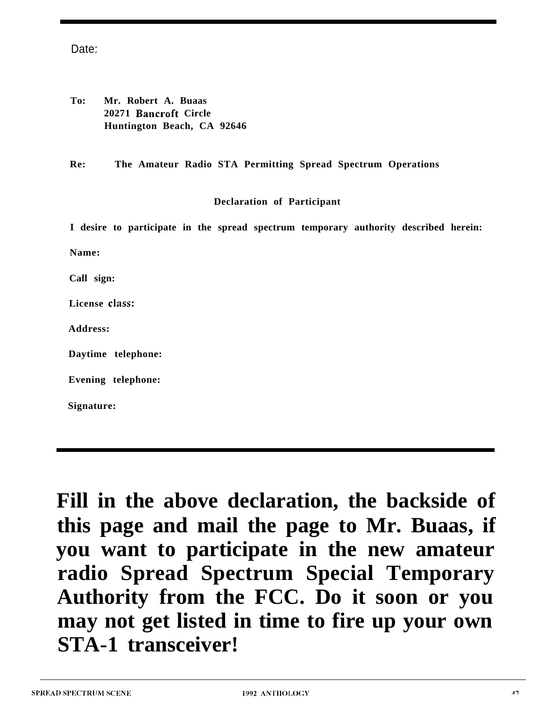Date:

| To: | Mr. Robert A. Buaas        |
|-----|----------------------------|
|     | 20271 Bancroft Circle      |
|     | Huntington Beach, CA 92646 |

**Re: The Amateur Radio STA Permitting Spread Spectrum Operations**

### **Declaration of Participant**

|                | I desire to participate in the spread spectrum temporary authority described herein: |  |  |  |  |
|----------------|--------------------------------------------------------------------------------------|--|--|--|--|
| Name:          |                                                                                      |  |  |  |  |
| Call sign:     |                                                                                      |  |  |  |  |
| License class: |                                                                                      |  |  |  |  |
| Address:       |                                                                                      |  |  |  |  |
|                | Daytime telephone:                                                                   |  |  |  |  |
|                | Evening telephone:                                                                   |  |  |  |  |
| Signature:     |                                                                                      |  |  |  |  |

**Fill in the above declaration, the backside of this page and mail the page to Mr. Buaas, if you want to participate in the new amateur radio Spread Spectrum Special Temporary Authority from the FCC. Do it soon or you may not get listed in time to fire up your own STA-1 transceiver!**